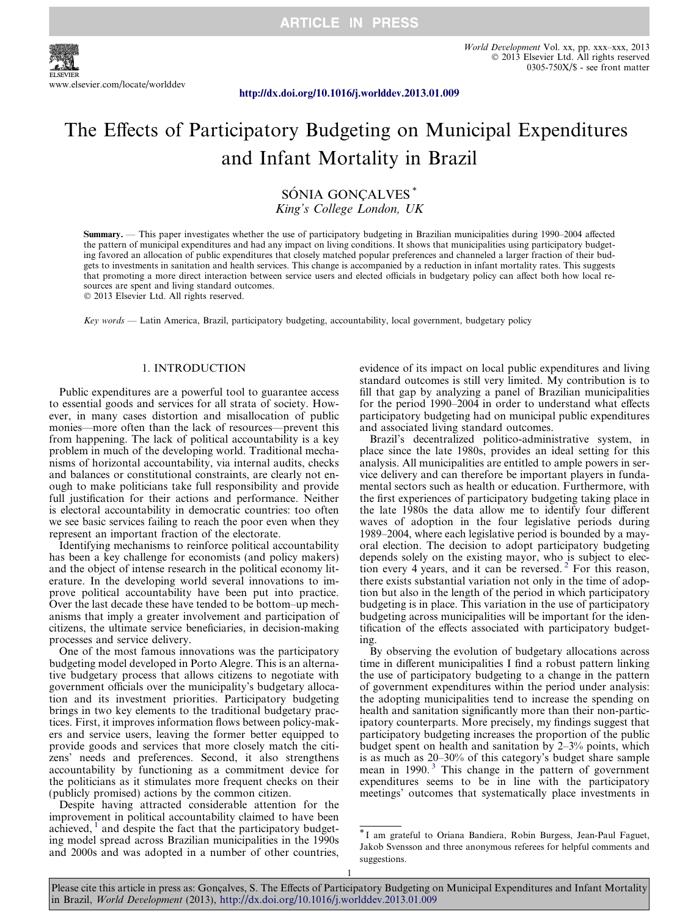

#### <http://dx.doi.org/10.1016/j.worlddev.2013.01.009>

# The Effects of Participatory Budgeting on Municipal Expenditures and Infant Mortality in Brazil

# SÓNIA GONÇALVES<sup>\*</sup> King's College London, UK

Summary. — This paper investigates whether the use of participatory budgeting in Brazilian municipalities during 1990–2004 affected the pattern of municipal expenditures and had any impact on living conditions. It shows that municipalities using participatory budgeting favored an allocation of public expenditures that closely matched popular preferences and channeled a larger fraction of their budgets to investments in sanitation and health services. This change is accompanied by a reduction in infant mortality rates. This suggests that promoting a more direct interaction between service users and elected officials in budgetary policy can affect both how local resources are spent and living standard outcomes.

© 2013 Elsevier Ltd. All rights reserved.

Key words — Latin America, Brazil, participatory budgeting, accountability, local government, budgetary policy

# 1. INTRODUCTION

Public expenditures are a powerful tool to guarantee access to essential goods and services for all strata of society. However, in many cases distortion and misallocation of public monies—more often than the lack of resources—prevent this from happening. The lack of political accountability is a key problem in much of the developing world. Traditional mechanisms of horizontal accountability, via internal audits, checks and balances or constitutional constraints, are clearly not enough to make politicians take full responsibility and provide full justification for their actions and performance. Neither is electoral accountability in democratic countries: too often we see basic services failing to reach the poor even when they represent an important fraction of the electorate.

Identifying mechanisms to reinforce political accountability has been a key challenge for economists (and policy makers) and the object of intense research in the political economy literature. In the developing world several innovations to improve political accountability have been put into practice. Over the last decade these have tended to be bottom–up mechanisms that imply a greater involvement and participation of citizens, the ultimate service beneficiaries, in decision-making processes and service delivery.

One of the most famous innovations was the participatory budgeting model developed in Porto Alegre. This is an alternative budgetary process that allows citizens to negotiate with government officials over the municipality's budgetary allocation and its investment priorities. Participatory budgeting brings in two key elements to the traditional budgetary practices. First, it improves information flows between policy-makers and service users, leaving the former better equipped to provide goods and services that more closely match the citizens' needs and preferences. Second, it also strengthens accountability by functioning as a commitment device for the politicians as it stimulates more frequent checks on their (publicly promised) actions by the common citizen.

Despite having attracted considerable attention for the improvement in political accountability claimed to have been achieved,  $\frac{1}{1}$  and despite the fact that the participatory budgeting model spread across Brazilian municipalities in the 1990s and 2000s and was adopted in a number of other countries, evidence of its impact on local public expenditures and living standard outcomes is still very limited. My contribution is to fill that gap by analyzing a panel of Brazilian municipalities for the period 1990–2004 in order to understand what effects participatory budgeting had on municipal public expenditures and associated living standard outcomes.

Brazil's decentralized politico-administrative system, in place since the late 1980s, provides an ideal setting for this analysis. All municipalities are entitled to ample powers in service delivery and can therefore be important players in fundamental sectors such as health or education. Furthermore, with the first experiences of participatory budgeting taking place in the late 1980s the data allow me to identify four different waves of adoption in the four legislative periods during 1989–2004, where each legislative period is bounded by a mayoral election. The decision to adopt participatory budgeting depends solely on the existing mayor, who is subject to election every 4 years, and it can be reversed.<sup>2</sup> For this reason, there exists substantial variation not only in the time of adoption but also in the length of the period in which participatory budgeting is in place. This variation in the use of participatory budgeting across municipalities will be important for the identification of the effects associated with participatory budgeting.

By observing the evolution of budgetary allocations across time in different municipalities I find a robust pattern linking the use of participatory budgeting to a change in the pattern of government expenditures within the period under analysis: the adopting municipalities tend to increase the spending on health and sanitation significantly more than their non-participatory counterparts. More precisely, my findings suggest that participatory budgeting increases the proportion of the public budget spent on health and sanitation by 2–3% points, which is as much as 20–30% of this category's budget share sample<br>mean in 1990.<sup>3</sup> This change in the pattern of government expenditures seems to be in line with the participatory meetings' outcomes that systematically place investments in

<sup>\*</sup> I am grateful to Oriana Bandiera, Robin Burgess, Jean-Paul Faguet, Jakob Svensson and three anonymous referees for helpful comments and suggestions.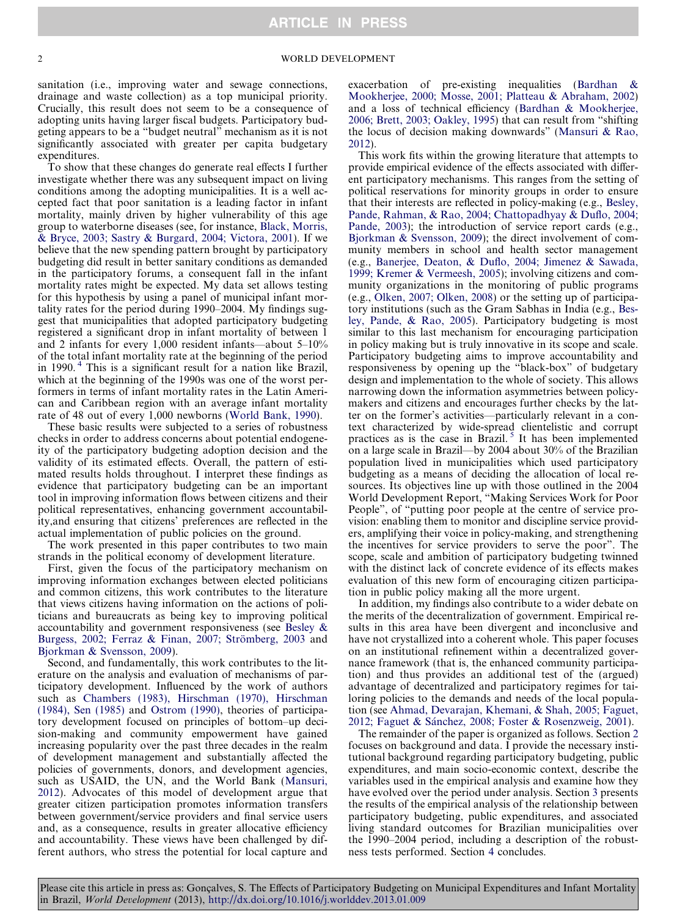sanitation (i.e., improving water and sewage connections, drainage and waste collection) as a top municipal priority. Crucially, this result does not seem to be a consequence of adopting units having larger fiscal budgets. Participatory budgeting appears to be a "budget neutral" mechanism as it is not significantly associated with greater per capita budgetary expenditures.

To show that these changes do generate real effects I further investigate whether there was any subsequent impact on living conditions among the adopting municipalities. It is a well accepted fact that poor sanitation is a leading factor in infant mortality, mainly driven by higher vulnerability of this age group to waterborne diseases (see, for instance, [Black, Morris,](#page-16-0) [& Bryce, 2003; Sastry & Burgard, 2004; Victora, 2001\)](#page-16-0). If we believe that the new spending pattern brought by participatory budgeting did result in better sanitary conditions as demanded in the participatory forums, a consequent fall in the infant mortality rates might be expected. My data set allows testing for this hypothesis by using a panel of municipal infant mortality rates for the period during 1990–2004. My findings suggest that municipalities that adopted participatory budgeting registered a significant drop in infant mortality of between 1 and 2 infants for every 1,000 resident infants—about 5–10% of the total infant mortality rate at the beginning of the period in 1990. <sup>4</sup> This is a significant result for a nation like Brazil, which at the beginning of the 1990s was one of the worst performers in terms of infant mortality rates in the Latin American and Caribbean region with an average infant mortality rate of 48 out of every 1,000 newborns ([World Bank, 1990\)](#page-16-0).

These basic results were subjected to a series of robustness checks in order to address concerns about potential endogeneity of the participatory budgeting adoption decision and the validity of its estimated effects. Overall, the pattern of estimated results holds throughout. I interpret these findings as evidence that participatory budgeting can be an important tool in improving information flows between citizens and their political representatives, enhancing government accountability,and ensuring that citizens' preferences are reflected in the actual implementation of public policies on the ground.

The work presented in this paper contributes to two main strands in the political economy of development literature.

First, given the focus of the participatory mechanism on improving information exchanges between elected politicians and common citizens, this work contributes to the literature that views citizens having information on the actions of politicians and bureaucrats as being key to improving political accountability and government responsiveness (see [Besley &](#page-16-0) Burgess, 2002; Ferraz & Finan, 2007; Strömberg, 2003 and [Bjorkman & Svensson, 2009\)](#page-16-0).

Second, and fundamentally, this work contributes to the literature on the analysis and evaluation of mechanisms of participatory development. Influenced by the work of authors such as [Chambers \(1983\), Hirschman \(1970\), Hirschman](#page-16-0) [\(1984\), Sen \(1985\)](#page-16-0) and [Ostrom \(1990\),](#page-16-0) theories of participatory development focused on principles of bottom–up decision-making and community empowerment have gained increasing popularity over the past three decades in the realm of development management and substantially affected the policies of governments, donors, and development agencies, such as USAID, the UN, and the World Bank ([Mansuri,](#page-16-0) [2012\)](#page-16-0). Advocates of this model of development argue that greater citizen participation promotes information transfers between government/service providers and final service users and, as a consequence, results in greater allocative efficiency and accountability. These views have been challenged by different authors, who stress the potential for local capture and exacerbation of pre-existing inequalities (Bardhan [Mookherjee, 2000; Mosse, 2001; Platteau & Abraham, 2002\)](#page-16-0) and a loss of technical efficiency [\(Bardhan & Mookherjee,](#page-16-0) [2006; Brett, 2003; Oakley, 1995\)](#page-16-0) that can result from "shifting the locus of decision making downwards" ([Mansuri & Rao,](#page-16-0) [2012\)](#page-16-0).

This work fits within the growing literature that attempts to provide empirical evidence of the effects associated with different participatory mechanisms. This ranges from the setting of political reservations for minority groups in order to ensure that their interests are reflected in policy-making (e.g., [Besley,](#page-16-0) [Pande, Rahman, & Rao, 2004; Chattopadhyay & Duflo, 2004;](#page-16-0) [Pande, 2003\)](#page-16-0); the introduction of service report cards (e.g., [Bjorkman & Svensson, 2009\)](#page-16-0); the direct involvement of community members in school and health sector management (e.g., [Banerjee, Deaton, & Duflo, 2004; Jimenez & Sawada,](#page-15-0) [1999; Kremer & Vermeesh, 2005\)](#page-15-0); involving citizens and community organizations in the monitoring of public programs (e.g., [Olken, 2007; Olken, 2008\)](#page-16-0) or the setting up of participatory institutions (such as the Gram Sabhas in India (e.g., [Bes](#page-16-0)[ley, Pande, & Rao, 2005](#page-16-0)). Participatory budgeting is most similar to this last mechanism for encouraging participation in policy making but is truly innovative in its scope and scale. Participatory budgeting aims to improve accountability and responsiveness by opening up the "black-box" of budgetary design and implementation to the whole of society. This allows narrowing down the information asymmetries between policymakers and citizens and encourages further checks by the latter on the former's activities—particularly relevant in a context characterized by wide-spread clientelistic and corrupt practices as is the case in Brazil.<sup>5</sup> It has been implemented on a large scale in Brazil—by 2004 about 30% of the Brazilian population lived in municipalities which used participatory budgeting as a means of deciding the allocation of local resources. Its objectives line up with those outlined in the 2004 World Development Report, "Making Services Work for Poor People", of "putting poor people at the centre of service provision: enabling them to monitor and discipline service providers, amplifying their voice in policy-making, and strengthening the incentives for service providers to serve the poor". The scope, scale and ambition of participatory budgeting twinned with the distinct lack of concrete evidence of its effects makes evaluation of this new form of encouraging citizen participation in public policy making all the more urgent.

In addition, my findings also contribute to a wider debate on the merits of the decentralization of government. Empirical results in this area have been divergent and inconclusive and have not crystallized into a coherent whole. This paper focuses on an institutional refinement within a decentralized governance framework (that is, the enhanced community participation) and thus provides an additional test of the (argued) advantage of decentralized and participatory regimes for tailoring policies to the demands and needs of the local population (see [Ahmad, Devarajan, Khemani, & Shah, 2005; Faguet,](#page-15-0) 2012; Faguet & Sánchez, 2008; Foster & Rosenzweig, 2001).

The remainder of the paper is organized as follows. Section 2 focuses on background and data. I provide the necessary institutional background regarding participatory budgeting, public expenditures, and main socio-economic context, describe the variables used in the empirical analysis and examine how they have evolved over the period under analysis. Section 3 presents the results of the empirical analysis of the relationship between participatory budgeting, public expenditures, and associated living standard outcomes for Brazilian municipalities over the 1990–2004 period, including a description of the robustness tests performed. Section 4 concludes.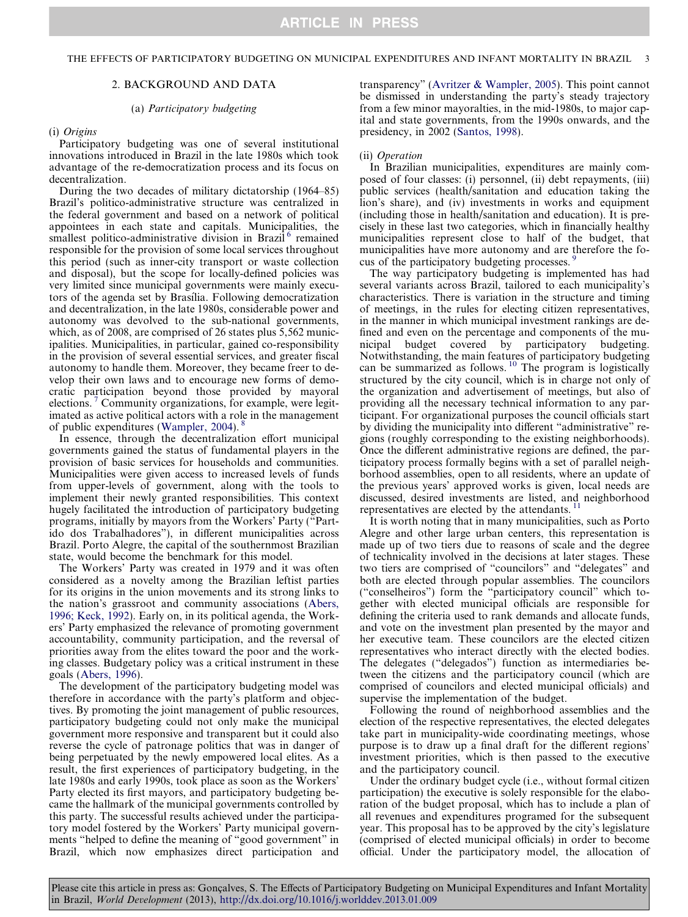# 2. BACKGROUND AND DATA

# (a) Participatory budgeting

#### (i) Origins

Participatory budgeting was one of several institutional innovations introduced in Brazil in the late 1980s which took advantage of the re-democratization process and its focus on decentralization.

During the two decades of military dictatorship (1964–85) Brazil's politico-administrative structure was centralized in the federal government and based on a network of political appointees in each state and capitals. Municipalities, the smallest politico-administrative division in Brazil<sup>6</sup> remained responsible for the provision of some local services throughout this period (such as inner-city transport or waste collection and disposal), but the scope for locally-defined policies was very limited since municipal governments were mainly executors of the agenda set by Brasília. Following democratization and decentralization, in the late 1980s, considerable power and autonomy was devolved to the sub-national governments, which, as of 2008, are comprised of 26 states plus 5,562 municipalities. Municipalities, in particular, gained co-responsibility in the provision of several essential services, and greater fiscal autonomy to handle them. Moreover, they became freer to develop their own laws and to encourage new forms of democratic participation beyond those provided by mayoral elections. <sup>7</sup> Community organizations, for example, were legitimated as active political actors with a role in the management of public expenditures [\(Wampler, 2004\)](#page-16-0).

In essence, through the decentralization effort municipal governments gained the status of fundamental players in the provision of basic services for households and communities. Municipalities were given access to increased levels of funds from upper-levels of government, along with the tools to implement their newly granted responsibilities. This context hugely facilitated the introduction of participatory budgeting programs, initially by mayors from the Workers' Party ("Partido dos Trabalhadores"), in different municipalities across Brazil. Porto Alegre, the capital of the southernmost Brazilian state, would become the benchmark for this model.

The Workers' Party was created in 1979 and it was often considered as a novelty among the Brazilian leftist parties for its origins in the union movements and its strong links to the nation's grassroot and community associations [\(Abers,](#page-15-0) [1996; Keck, 1992\)](#page-15-0). Early on, in its political agenda, the Workers' Party emphasized the relevance of promoting government accountability, community participation, and the reversal of priorities away from the elites toward the poor and the working classes. Budgetary policy was a critical instrument in these goals ([Abers, 1996](#page-15-0)).

The development of the participatory budgeting model was therefore in accordance with the party's platform and objectives. By promoting the joint management of public resources, participatory budgeting could not only make the municipal government more responsive and transparent but it could also reverse the cycle of patronage politics that was in danger of being perpetuated by the newly empowered local elites. As a result, the first experiences of participatory budgeting, in the late 1980s and early 1990s, took place as soon as the Workers' Party elected its first mayors, and participatory budgeting became the hallmark of the municipal governments controlled by this party. The successful results achieved under the participatory model fostered by the Workers' Party municipal governments "helped to define the meaning of "good government" in Brazil, which now emphasizes direct participation and

transparency" [\(Avritzer & Wampler, 2005\)](#page-15-0). This point cannot be dismissed in understanding the party's steady trajectory from a few minor mayoralties, in the mid-1980s, to major capital and state governments, from the 1990s onwards, and the presidency, in 2002 [\(Santos, 1998\)](#page-16-0).

#### (ii) Operation

In Brazilian municipalities, expenditures are mainly composed of four classes: (i) personnel, (ii) debt repayments, (iii) public services (health/sanitation and education taking the lion's share), and (iv) investments in works and equipment (including those in health/sanitation and education). It is precisely in these last two categories, which in financially healthy municipalities represent close to half of the budget, that municipalities have more autonomy and are therefore the focus of the participatory budgeting processes.

The way participatory budgeting is implemented has had several variants across Brazil, tailored to each municipality's characteristics. There is variation in the structure and timing of meetings, in the rules for electing citizen representatives, in the manner in which municipal investment rankings are defined and even on the percentage and components of the municipal budget covered by participatory budgeting. Notwithstanding, the main features of participatory budgeting can be summarized as follows. <sup>10</sup> The program is logistically structured by the city council, which is in charge not only of the organization and advertisement of meetings, but also of providing all the necessary technical information to any participant. For organizational purposes the council officials start by dividing the municipality into different "administrative" regions (roughly corresponding to the existing neighborhoods). Once the different administrative regions are defined, the participatory process formally begins with a set of parallel neighborhood assemblies, open to all residents, where an update of the previous years' approved works is given, local needs are discussed, desired investments are listed, and neighborhood representatives are elected by the attendants.

It is worth noting that in many municipalities, such as Porto Alegre and other large urban centers, this representation is made up of two tiers due to reasons of scale and the degree of technicality involved in the decisions at later stages. These two tiers are comprised of "councilors" and "delegates" and both are elected through popular assemblies. The councilors ("conselheiros") form the "participatory council" which together with elected municipal officials are responsible for defining the criteria used to rank demands and allocate funds, and vote on the investment plan presented by the mayor and her executive team. These councilors are the elected citizen representatives who interact directly with the elected bodies. The delegates ("delegados") function as intermediaries between the citizens and the participatory council (which are comprised of councilors and elected municipal officials) and supervise the implementation of the budget.

Following the round of neighborhood assemblies and the election of the respective representatives, the elected delegates take part in municipality-wide coordinating meetings, whose purpose is to draw up a final draft for the different regions' investment priorities, which is then passed to the executive and the participatory council.

Under the ordinary budget cycle (i.e., without formal citizen participation) the executive is solely responsible for the elaboration of the budget proposal, which has to include a plan of all revenues and expenditures programed for the subsequent year. This proposal has to be approved by the city's legislature (comprised of elected municipal officials) in order to become official. Under the participatory model, the allocation of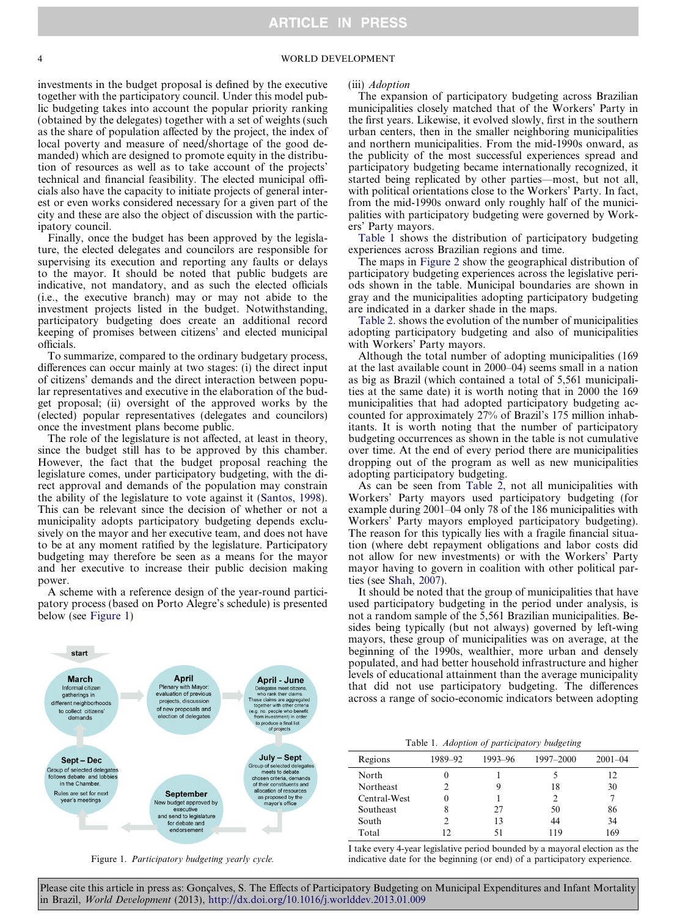investments in the budget proposal is defined by the executive together with the participatory council. Under this model public budgeting takes into account the popular priority ranking (obtained by the delegates) together with a set of weights (such as the share of population affected by the project, the index of local poverty and measure of need/shortage of the good demanded) which are designed to promote equity in the distribution of resources as well as to take account of the projects' technical and financial feasibility. The elected municipal officials also have the capacity to initiate projects of general interest or even works considered necessary for a given part of the city and these are also the object of discussion with the participatory council.

Finally, once the budget has been approved by the legislature, the elected delegates and councilors are responsible for supervising its execution and reporting any faults or delays to the mayor. It should be noted that public budgets are indicative, not mandatory, and as such the elected officials (i.e., the executive branch) may or may not abide to the investment projects listed in the budget. Notwithstanding, participatory budgeting does create an additional record keeping of promises between citizens' and elected municipal officials.

To summarize, compared to the ordinary budgetary process, differences can occur mainly at two stages: (i) the direct input of citizens' demands and the direct interaction between popular representatives and executive in the elaboration of the budget proposal; (ii) oversight of the approved works by the (elected) popular representatives (delegates and councilors) once the investment plans become public.

The role of the legislature is not affected, at least in theory, since the budget still has to be approved by this chamber. However, the fact that the budget proposal reaching the legislature comes, under participatory budgeting, with the direct approval and demands of the population may constrain the ability of the legislature to vote against it [\(Santos, 1998](#page-16-0)). This can be relevant since the decision of whether or not a municipality adopts participatory budgeting depends exclusively on the mayor and her executive team, and does not have to be at any moment ratified by the legislature. Participatory budgeting may therefore be seen as a means for the mayor and her executive to increase their public decision making power.

A scheme with a reference design of the year-round participatory process (based on Porto Alegre's schedule) is presented below (see Figure 1)



Figure 1. Participatory budgeting yearly cycle.

#### (iii) Adoption

The expansion of participatory budgeting across Brazilian municipalities closely matched that of the Workers' Party in the first years. Likewise, it evolved slowly, first in the southern urban centers, then in the smaller neighboring municipalities and northern municipalities. From the mid-1990s onward, as the publicity of the most successful experiences spread and participatory budgeting became internationally recognized, it started being replicated by other parties—most, but not all, with political orientations close to the Workers' Party. In fact, from the mid-1990s onward only roughly half of the municipalities with participatory budgeting were governed by Workers' Party mayors.

Table 1 shows the distribution of participatory budgeting experiences across Brazilian regions and time.

The maps in [Figure 2](#page-4-0) show the geographical distribution of participatory budgeting experiences across the legislative periods shown in the table. Municipal boundaries are shown in gray and the municipalities adopting participatory budgeting are indicated in a darker shade in the maps.

[Table 2](#page-4-0). shows the evolution of the number of municipalities adopting participatory budgeting and also of municipalities with Workers' Party mayors.

Although the total number of adopting municipalities (169 at the last available count in 2000–04) seems small in a nation as big as Brazil (which contained a total of 5,561 municipalities at the same date) it is worth noting that in 2000 the 169 municipalities that had adopted participatory budgeting accounted for approximately 27% of Brazil's 175 million inhabitants. It is worth noting that the number of participatory budgeting occurrences as shown in the table is not cumulative over time. At the end of every period there are municipalities dropping out of the program as well as new municipalities adopting participatory budgeting.

As can be seen from [Table 2,](#page-4-0) not all municipalities with Workers' Party mayors used participatory budgeting (for example during 2001–04 only 78 of the 186 municipalities with Workers' Party mayors employed participatory budgeting). The reason for this typically lies with a fragile financial situation (where debt repayment obligations and labor costs did not allow for new investments) or with the Workers' Party mayor having to govern in coalition with other political parties (see [Shah, 2007\)](#page-16-0).

It should be noted that the group of municipalities that have used participatory budgeting in the period under analysis, is not a random sample of the 5,561 Brazilian municipalities. Besides being typically (but not always) governed by left-wing mayors, these group of municipalities was on average, at the beginning of the 1990s, wealthier, more urban and densely populated, and had better household infrastructure and higher levels of educational attainment than the average municipality that did not use participatory budgeting. The differences across a range of socio-economic indicators between adopting

Table 1. Adoption of participatory budgeting

| Regions          | 1989–92 | 1993-96 | 1997-2000 | $2001 - 04$ |
|------------------|---------|---------|-----------|-------------|
| North            |         |         |           | 12          |
| <b>Northeast</b> |         | q       | 18        | 30          |
| Central-West     |         |         |           |             |
| Southeast        |         | 27      | 50        | 86          |
| South            |         | 13      | 44        | 34          |
| Total            |         | 51      | 119       | 169         |

I take every 4-year legislative period bounded by a mayoral election as the indicative date for the beginning (or end) of a participatory experience.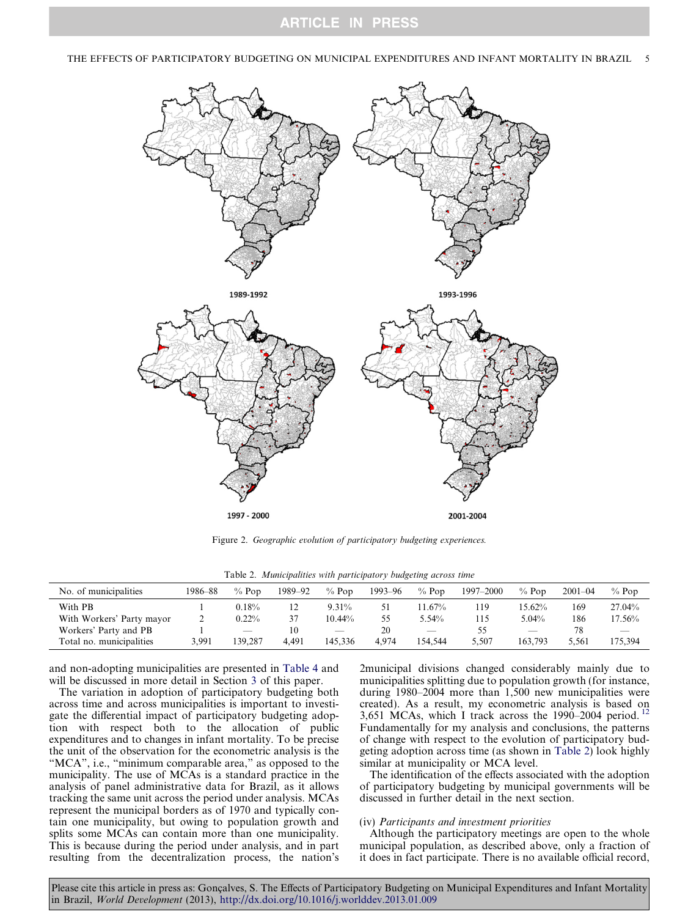<span id="page-4-0"></span>

Figure 2. Geographic evolution of participatory budgeting experiences.

|  |  | Table 2. Municipalities with participatory budgeting across time |  |  |
|--|--|------------------------------------------------------------------|--|--|
|--|--|------------------------------------------------------------------|--|--|

| No. of municipalities     | 1986–88 | $%$ Pop                  | 1989–92 | $%$ Pop   | 1993–96 | $%$ Pop  | 1997-2000 | $%$ Pop | $2001 - 04$ | $%$ Pop   |
|---------------------------|---------|--------------------------|---------|-----------|---------|----------|-----------|---------|-------------|-----------|
| With PB                   |         | 0.18%                    |         | 9.31%     | 51      | 11.67%   | 119       | 15.62%  | 169         | 27.04%    |
| With Workers' Party mayor |         | 0.22%                    | 37      | $10.44\%$ | 55      | $5.54\%$ | 115       | 5.04%   | 186         | $17.56\%$ |
| Workers' Party and PB     |         | $\overline{\phantom{a}}$ | 10      |           | 20      |          | 55        |         | 78          |           |
| Total no. municipalities  | 3.991   | 139.287                  | 4.491   | 145.336   | 4.974   | 154.544  | 5.507     | 163.793 | 5.561       | 75.394    |

and non-adopting municipalities are presented in [Table 4](#page-8-0) and will be discussed in more detail in Section 3 of this paper.

The variation in adoption of participatory budgeting both across time and across municipalities is important to investigate the differential impact of participatory budgeting adoption with respect both to the allocation of public expenditures and to changes in infant mortality. To be precise the unit of the observation for the econometric analysis is the "MCA", i.e., "minimum comparable area," as opposed to the municipality. The use of MCAs is a standard practice in the analysis of panel administrative data for Brazil, as it allows tracking the same unit across the period under analysis. MCAs represent the municipal borders as of 1970 and typically contain one municipality, but owing to population growth and splits some MCAs can contain more than one municipality. This is because during the period under analysis, and in part resulting from the decentralization process, the nation's

2municipal divisions changed considerably mainly due to municipalities splitting due to population growth (for instance, during 1980–2004 more than 1,500 new municipalities were created). As a result, my econometric analysis is based on 3,651 MCAs, which I track across the 1990–2004 period. <sup>12</sup> Fundamentally for my analysis and conclusions, the patterns of change with respect to the evolution of participatory budgeting adoption across time (as shown in Table 2) look highly similar at municipality or MCA level.

The identification of the effects associated with the adoption of participatory budgeting by municipal governments will be discussed in further detail in the next section.

## (iv) Participants and investment priorities

Although the participatory meetings are open to the whole municipal population, as described above, only a fraction of it does in fact participate. There is no available official record,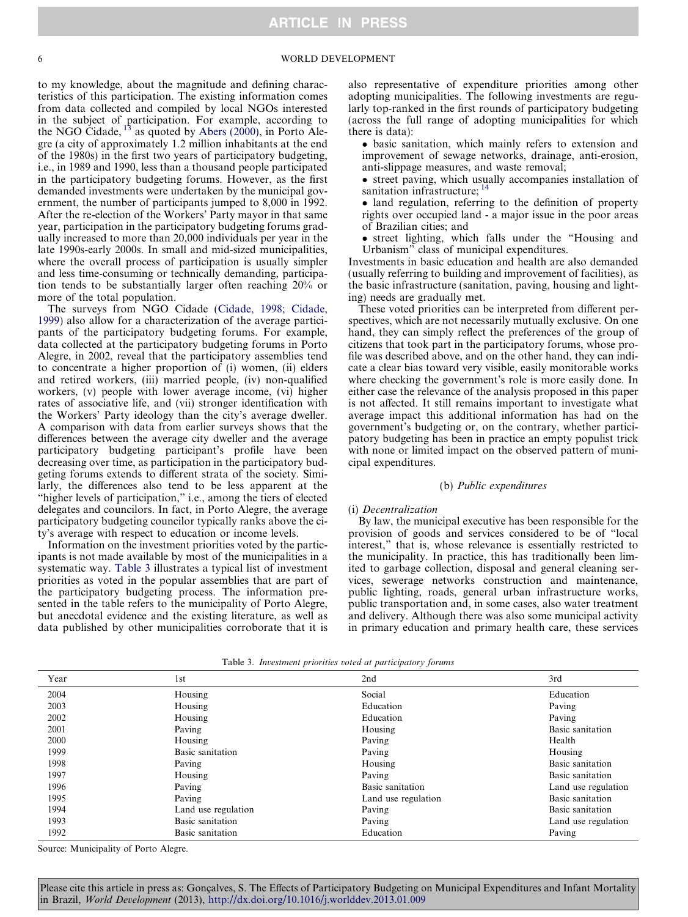to my knowledge, about the magnitude and defining characteristics of this participation. The existing information comes from data collected and compiled by local NGOs interested in the subject of participation. For example, according to the NGO Cidade, <sup>13</sup> as quoted by [Abers \(2000\)](#page-15-0), in Porto Alegre (a city of approximately 1.2 million inhabitants at the end of the 1980s) in the first two years of participatory budgeting, i.e., in 1989 and 1990, less than a thousand people participated in the participatory budgeting forums. However, as the first demanded investments were undertaken by the municipal government, the number of participants jumped to 8,000 in 1992. After the re-election of the Workers' Party mayor in that same year, participation in the participatory budgeting forums gradually increased to more than 20,000 individuals per year in the late 1990s-early 2000s. In small and mid-sized municipalities, where the overall process of participation is usually simpler and less time-consuming or technically demanding, participation tends to be substantially larger often reaching 20% or more of the total population.

The surveys from NGO Cidade ([Cidade, 1998; Cidade,](#page-16-0) [1999\)](#page-16-0) also allow for a characterization of the average participants of the participatory budgeting forums. For example, data collected at the participatory budgeting forums in Porto Alegre, in 2002, reveal that the participatory assemblies tend to concentrate a higher proportion of (i) women, (ii) elders and retired workers, (iii) married people, (iv) non-qualified workers, (v) people with lower average income, (vi) higher rates of associative life, and (vii) stronger identification with the Workers' Party ideology than the city's average dweller. A comparison with data from earlier surveys shows that the differences between the average city dweller and the average participatory budgeting participant's profile have been decreasing over time, as participation in the participatory budgeting forums extends to different strata of the society. Similarly, the differences also tend to be less apparent at the "higher levels of participation," i.e., among the tiers of elected delegates and councilors. In fact, in Porto Alegre, the average participatory budgeting councilor typically ranks above the city's average with respect to education or income levels.

Information on the investment priorities voted by the participants is not made available by most of the municipalities in a systematic way. Table 3 illustrates a typical list of investment priorities as voted in the popular assemblies that are part of the participatory budgeting process. The information presented in the table refers to the municipality of Porto Alegre, but anecdotal evidence and the existing literature, as well as data published by other municipalities corroborate that it is also representative of expenditure priorities among other adopting municipalities. The following investments are regularly top-ranked in the first rounds of participatory budgeting (across the full range of adopting municipalities for which there is data):

- basic sanitation, which mainly refers to extension and improvement of sewage networks, drainage, anti-erosion, anti-slippage measures, and waste removal;

- street paving, which usually accompanies installation of sanitation infrastructure; <sup>14</sup>

- land regulation, referring to the definition of property rights over occupied land - a major issue in the poor areas of Brazilian cities; and
- street lighting, which falls under the "Housing and Urbanism" class of municipal expenditures.

Investments in basic education and health are also demanded (usually referring to building and improvement of facilities), as the basic infrastructure (sanitation, paving, housing and lighting) needs are gradually met.

These voted priorities can be interpreted from different perspectives, which are not necessarily mutually exclusive. On one hand, they can simply reflect the preferences of the group of citizens that took part in the participatory forums, whose profile was described above, and on the other hand, they can indicate a clear bias toward very visible, easily monitorable works where checking the government's role is more easily done. In either case the relevance of the analysis proposed in this paper is not affected. It still remains important to investigate what average impact this additional information has had on the government's budgeting or, on the contrary, whether participatory budgeting has been in practice an empty populist trick with none or limited impact on the observed pattern of municipal expenditures.

# (b) Public expenditures

#### (i) Decentralization

By law, the municipal executive has been responsible for the provision of goods and services considered to be of "local interest," that is, whose relevance is essentially restricted to the municipality. In practice, this has traditionally been limited to garbage collection, disposal and general cleaning services, sewerage networks construction and maintenance, public lighting, roads, general urban infrastructure works, public transportation and, in some cases, also water treatment and delivery. Although there was also some municipal activity in primary education and primary health care, these services

| Year | 1st                 | 2nd                 | 3rd                 |
|------|---------------------|---------------------|---------------------|
| 2004 | Housing             | Social              | Education           |
| 2003 | Housing             | Education           | Paving              |
| 2002 | Housing             | Education           | Paving              |
| 2001 | Paving              | Housing             | Basic sanitation    |
| 2000 | Housing             | Paving              | Health              |
| 1999 | Basic sanitation    | Paving              | Housing             |
| 1998 | Paving              | Housing             | Basic sanitation    |
| 1997 | Housing             | Paving              | Basic sanitation    |
| 1996 | Paving              | Basic sanitation    | Land use regulation |
| 1995 | Paving              | Land use regulation | Basic sanitation    |
| 1994 | Land use regulation | Paving              | Basic sanitation    |
| 1993 | Basic sanitation    | Paving              | Land use regulation |
| 1992 | Basic sanitation    | Education           | Paving              |

Table 3. Investment priorities voted at participatory forums

Source: Municipality of Porto Alegre.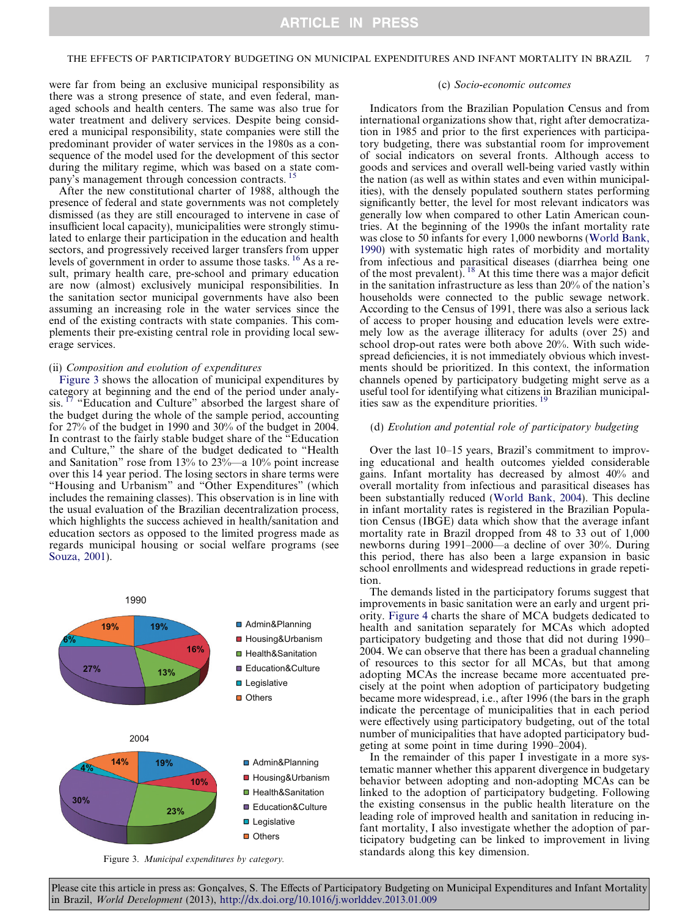were far from being an exclusive municipal responsibility as there was a strong presence of state, and even federal, managed schools and health centers. The same was also true for water treatment and delivery services. Despite being considered a municipal responsibility, state companies were still the predominant provider of water services in the 1980s as a consequence of the model used for the development of this sector during the military regime, which was based on a state company's management through concession contracts.<sup>15</sup>

After the new constitutional charter of 1988, although the presence of federal and state governments was not completely dismissed (as they are still encouraged to intervene in case of insufficient local capacity), municipalities were strongly stimulated to enlarge their participation in the education and health sectors, and progressively received larger transfers from upper levels of government in order to assume those tasks. <sup>16</sup> As a result, primary health care, pre-school and primary education are now (almost) exclusively municipal responsibilities. In the sanitation sector municipal governments have also been assuming an increasing role in the water services since the end of the existing contracts with state companies. This complements their pre-existing central role in providing local sewerage services.

#### (ii) Composition and evolution of expenditures

Figure 3 shows the allocation of municipal expenditures by category at beginning and the end of the period under analysis.<sup>17</sup> "Education and Culture" absorbed the largest share of the budget during the whole of the sample period, accounting for 27% of the budget in 1990 and 30% of the budget in 2004. In contrast to the fairly stable budget share of the "Education and Culture," the share of the budget dedicated to "Health and Sanitation" rose from 13% to 23%—a 10% point increase over this 14 year period. The losing sectors in share terms were "Housing and Urbanism" and "Other Expenditures" (which includes the remaining classes). This observation is in line with the usual evaluation of the Brazilian decentralization process, which highlights the success achieved in health/sanitation and education sectors as opposed to the limited progress made as regards municipal housing or social welfare programs (see [Souza, 2001\)](#page-16-0).



Figure 3. Municipal expenditures by category.

#### (c) Socio-economic outcomes

Indicators from the Brazilian Population Census and from international organizations show that, right after democratization in 1985 and prior to the first experiences with participatory budgeting, there was substantial room for improvement of social indicators on several fronts. Although access to goods and services and overall well-being varied vastly within the nation (as well as within states and even within municipalities), with the densely populated southern states performing significantly better, the level for most relevant indicators was generally low when compared to other Latin American countries. At the beginning of the 1990s the infant mortality rate was close to 50 infants for every 1,000 newborns [\(World Bank,](#page-16-0) [1990](#page-16-0)) with systematic high rates of morbidity and mortality from infectious and parasitical diseases (diarrhea being one of the most prevalent). <sup>18</sup> At this time there was a major deficit in the sanitation infrastructure as less than 20% of the nation's households were connected to the public sewage network. According to the Census of 1991, there was also a serious lack of access to proper housing and education levels were extremely low as the average illiteracy for adults (over 25) and school drop-out rates were both above 20%. With such widespread deficiencies, it is not immediately obvious which investments should be prioritized. In this context, the information channels opened by participatory budgeting might serve as a useful tool for identifying what citizens in Brazilian municipalities saw as the expenditure priorities.<sup>19</sup>

# (d) Evolution and potential role of participatory budgeting

Over the last 10–15 years, Brazil's commitment to improving educational and health outcomes yielded considerable gains. Infant mortality has decreased by almost 40% and overall mortality from infectious and parasitical diseases has been substantially reduced [\(World Bank, 2004\)](#page-16-0). This decline in infant mortality rates is registered in the Brazilian Population Census (IBGE) data which show that the average infant mortality rate in Brazil dropped from 48 to 33 out of 1,000 newborns during 1991–2000—a decline of over 30%. During this period, there has also been a large expansion in basic school enrollments and widespread reductions in grade repetition.

The demands listed in the participatory forums suggest that improvements in basic sanitation were an early and urgent priority. [Figure 4](#page-7-0) charts the share of MCA budgets dedicated to health and sanitation separately for MCAs which adopted participatory budgeting and those that did not during 1990– 2004. We can observe that there has been a gradual channeling of resources to this sector for all MCAs, but that among adopting MCAs the increase became more accentuated precisely at the point when adoption of participatory budgeting became more widespread, i.e., after 1996 (the bars in the graph indicate the percentage of municipalities that in each period were effectively using participatory budgeting, out of the total number of municipalities that have adopted participatory budgeting at some point in time during 1990–2004).

In the remainder of this paper I investigate in a more systematic manner whether this apparent divergence in budgetary behavior between adopting and non-adopting MCAs can be linked to the adoption of participatory budgeting. Following the existing consensus in the public health literature on the leading role of improved health and sanitation in reducing infant mortality, I also investigate whether the adoption of participatory budgeting can be linked to improvement in living standards along this key dimension.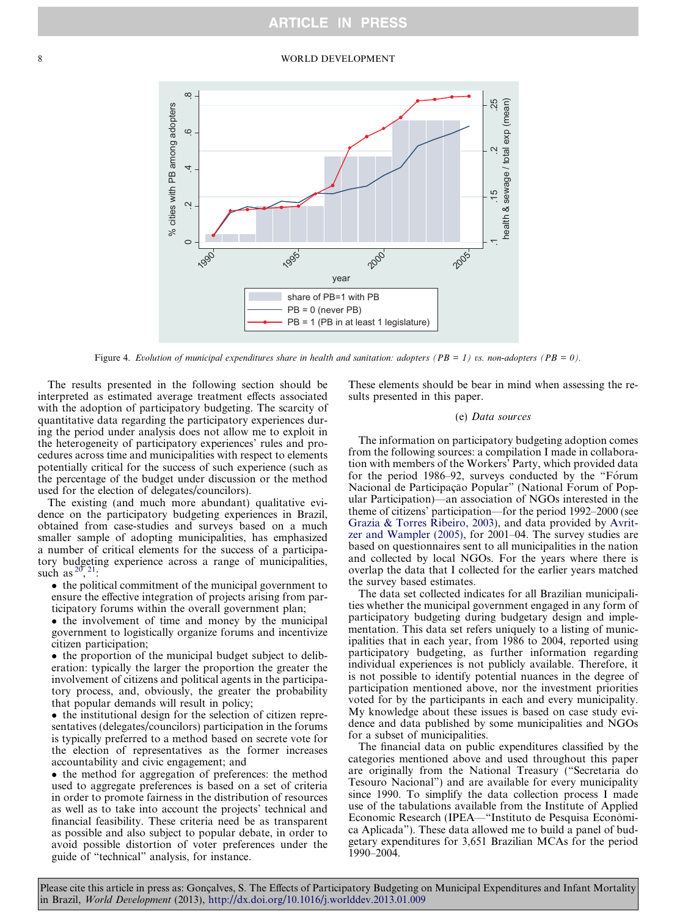<span id="page-7-0"></span>

Figure 4. Evolution of municipal expenditures share in health and sanitation: adopters ( $PB = 1$ ) vs. non-adopters ( $PB = 0$ ).

The results presented in the following section should be interpreted as estimated average treatment effects associated with the adoption of participatory budgeting. The scarcity of quantitative data regarding the participatory experiences during the period under analysis does not allow me to exploit in the heterogeneity of participatory experiences' rules and procedures across time and municipalities with respect to elements potentially critical for the success of such experience (such as the percentage of the budget under discussion or the method used for the election of delegates/councilors).

The existing (and much more abundant) qualitative evidence on the participatory budgeting experiences in Brazil, obtained from case-studies and surveys based on a much smaller sample of adopting municipalities, has emphasized a number of critical elements for the success of a participatory budgeting experience across a range of municipalities, such as  $20, 21$ :

• the political commitment of the municipal government to ensure the effective integration of projects arising from participatory forums within the overall government plan;

• the involvement of time and money by the municipal government to logistically organize forums and incentivize citizen participation;

• the proportion of the municipal budget subject to deliberation: typically the larger the proportion the greater the involvement of citizens and political agents in the participatory process, and, obviously, the greater the probability that popular demands will result in policy;

- the institutional design for the selection of citizen representatives (delegates/councilors) participation in the forums is typically preferred to a method based on secrete vote for the election of representatives as the former increases accountability and civic engagement; and

- the method for aggregation of preferences: the method used to aggregate preferences is based on a set of criteria in order to promote fairness in the distribution of resources as well as to take into account the projects' technical and financial feasibility. These criteria need be as transparent as possible and also subject to popular debate, in order to avoid possible distortion of voter preferences under the guide of "technical" analysis, for instance.

These elements should be bear in mind when assessing the results presented in this paper.

## (e) Data sources

The information on participatory budgeting adoption comes from the following sources: a compilation I made in collaboration with members of the Workers' Party, which provided data for the period 1986–92, surveys conducted by the "Forum" Nacional de Participação Popular" (National Forum of Popular Participation)—an association of NGOs interested in the theme of citizens' participation—for the period 1992–2000 (see [Grazia & Torres Ribeiro, 2003\)](#page-16-0), and data provided by [Avrit](#page-15-0)[zer and Wampler \(2005\)](#page-15-0), for 2001–04. The survey studies are based on questionnaires sent to all municipalities in the nation and collected by local NGOs. For the years where there is overlap the data that I collected for the earlier years matched the survey based estimates.

The data set collected indicates for all Brazilian municipalities whether the municipal government engaged in any form of participatory budgeting during budgetary design and implementation. This data set refers uniquely to a listing of municipalities that in each year, from 1986 to 2004, reported using participatory budgeting, as further information regarding individual experiences is not publicly available. Therefore, it is not possible to identify potential nuances in the degree of participation mentioned above, nor the investment priorities voted for by the participants in each and every municipality. My knowledge about these issues is based on case study evidence and data published by some municipalities and NGOs for a subset of municipalities.

The financial data on public expenditures classified by the categories mentioned above and used throughout this paper are originally from the National Treasury ("Secretaria do Tesouro Nacional") and are available for every municipality since 1990. To simplify the data collection process I made use of the tabulations available from the Institute of Applied Economic Research (IPEA—"Instituto de Pesquisa Econômica Aplicada"). These data allowed me to build a panel of budgetary expenditures for 3,651 Brazilian MCAs for the period 1990–2004.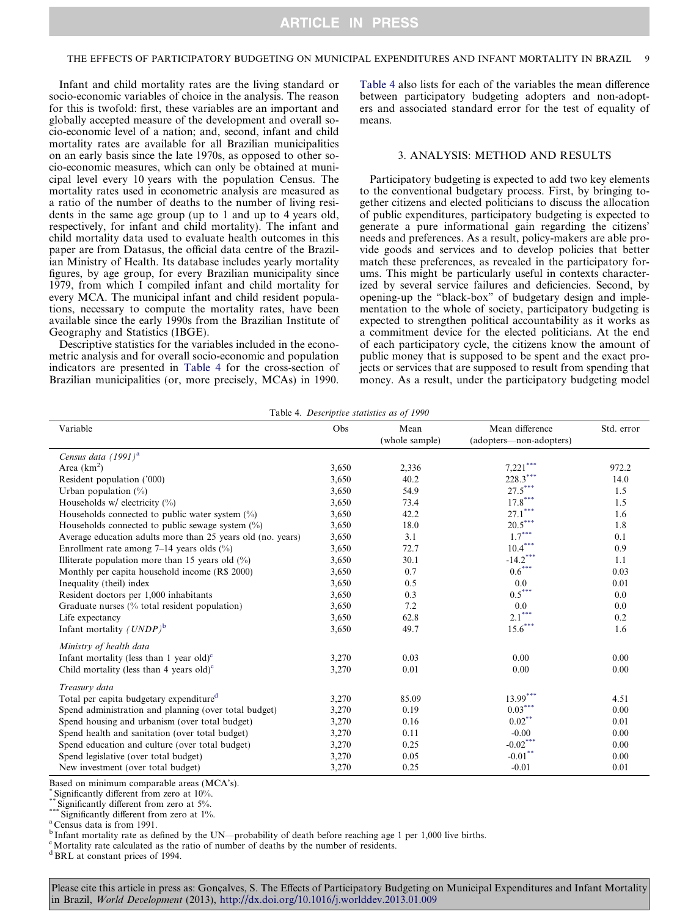<span id="page-8-0"></span>Infant and child mortality rates are the living standard or socio-economic variables of choice in the analysis. The reason for this is twofold: first, these variables are an important and globally accepted measure of the development and overall socio-economic level of a nation; and, second, infant and child mortality rates are available for all Brazilian municipalities on an early basis since the late 1970s, as opposed to other socio-economic measures, which can only be obtained at municipal level every 10 years with the population Census. The mortality rates used in econometric analysis are measured as a ratio of the number of deaths to the number of living residents in the same age group (up to 1 and up to 4 years old, respectively, for infant and child mortality). The infant and child mortality data used to evaluate health outcomes in this paper are from Datasus, the official data centre of the Brazilian Ministry of Health. Its database includes yearly mortality figures, by age group, for every Brazilian municipality since 1979, from which I compiled infant and child mortality for every MCA. The municipal infant and child resident populations, necessary to compute the mortality rates, have been available since the early 1990s from the Brazilian Institute of Geography and Statistics (IBGE).

Descriptive statistics for the variables included in the econometric analysis and for overall socio-economic and population indicators are presented in Table 4 for the cross-section of Brazilian municipalities (or, more precisely, MCAs) in 1990.

Table 4 also lists for each of the variables the mean difference between participatory budgeting adopters and non-adopters and associated standard error for the test of equality of means.

#### 3. ANALYSIS: METHOD AND RESULTS

Participatory budgeting is expected to add two key elements to the conventional budgetary process. First, by bringing together citizens and elected politicians to discuss the allocation of public expenditures, participatory budgeting is expected to generate a pure informational gain regarding the citizens' needs and preferences. As a result, policy-makers are able provide goods and services and to develop policies that better match these preferences, as revealed in the participatory forums. This might be particularly useful in contexts characterized by several service failures and deficiencies. Second, by opening-up the "black-box" of budgetary design and implementation to the whole of society, participatory budgeting is expected to strengthen political accountability as it works as a commitment device for the elected politicians. At the end of each participatory cycle, the citizens know the amount of public money that is supposed to be spent and the exact projects or services that are supposed to result from spending that money. As a result, under the participatory budgeting model

Table 4. Descriptive statistics as of 1990

| Variable                                                    | Obs   | Mean           | Mean difference         | Std. error |
|-------------------------------------------------------------|-------|----------------|-------------------------|------------|
|                                                             |       | (whole sample) | (adopters—non-adopters) |            |
| Census data $(1991)^{a}$                                    |       |                |                         |            |
| Area $(km2)$                                                | 3,650 | 2,336          | $7,221***$              | 972.2      |
| Resident population ('000)                                  | 3,650 | 40.2           | $228.3***$              | 14.0       |
| Urban population $(\% )$                                    | 3,650 | 54.9           | $27.5***$               | 1.5        |
| Households w/ electricity $(\%)$                            | 3,650 | 73.4           | $17.8***$               | 1.5        |
| Households connected to public water system $(\%)$          | 3,650 | 42.2           | $27.1***$               | 1.6        |
| Households connected to public sewage system $(\%)$         | 3,650 | 18.0           | $20.5***$               | 1.8        |
| Average education adults more than 25 years old (no. years) | 3,650 | 3.1            | $1.7***$                | 0.1        |
| Enrollment rate among $7-14$ years olds $(\%)$              | 3,650 | 72.7           | $10.4***$               | 0.9        |
| Illiterate population more than 15 years old $(\%)$         | 3,650 | 30.1           | $-14.2***$              | 1.1        |
| Monthly per capita household income (R\$ 2000)              | 3,650 | 0.7            | $0.6***$                | 0.03       |
| Inequality (theil) index                                    | 3,650 | 0.5            | 0.0                     | 0.01       |
| Resident doctors per 1,000 inhabitants                      | 3,650 | 0.3            | $0.5***$                | 0.0        |
| Graduate nurses (% total resident population)               | 3,650 | 7.2            | 0.0                     | 0.0        |
| Life expectancy                                             | 3,650 | 62.8           | $2.1***$                | 0.2        |
| Infant mortality $(UNDP)^b$                                 | 3,650 | 49.7           | $15.6***$               | 1.6        |
| Ministry of health data                                     |       |                |                         |            |
| Infant mortality (less than 1 year old) $\textdegree$       | 3,270 | 0.03           | 0.00                    | 0.00       |
| Child mortality (less than 4 years old) $\text{°}$          | 3,270 | 0.01           | 0.00                    | 0.00       |
| Treasury data                                               |       |                |                         |            |
| Total per capita budgetary expenditure <sup>d</sup>         | 3,270 | 85.09          | $13.99***$              | 4.51       |
| Spend administration and planning (over total budget)       | 3,270 | 0.19           | $0.03***$               | 0.00       |
| Spend housing and urbanism (over total budget)              | 3,270 | 0.16           | $0.02$ **               | 0.01       |
| Spend health and sanitation (over total budget)             | 3,270 | 0.11           | $-0.00$                 | 0.00       |
| Spend education and culture (over total budget)             | 3,270 | 0.25           | $-0.02***$              | 0.00       |
| Spend legislative (over total budget)                       | 3,270 | 0.05           | $-0.01$ **              | 0.00       |
| New investment (over total budget)                          | 3,270 | 0.25           | $-0.01$                 | 0.01       |

Based on minimum comparable areas (MCA's).

\* Significantly different from zero at 10%.

\*\* Significantly different from zero at 5%.<br>\*\*\* Significantly different from zero at 1%.<br>a Census data is from 1991.

<sup>b</sup> Infant mortality rate as defined by the UN—probability of death before reaching age 1 per 1,000 live births.

c Mortality rate calculated as the ratio of number of deaths by the number of residents.

<sup>d</sup> BRL at constant prices of 1994.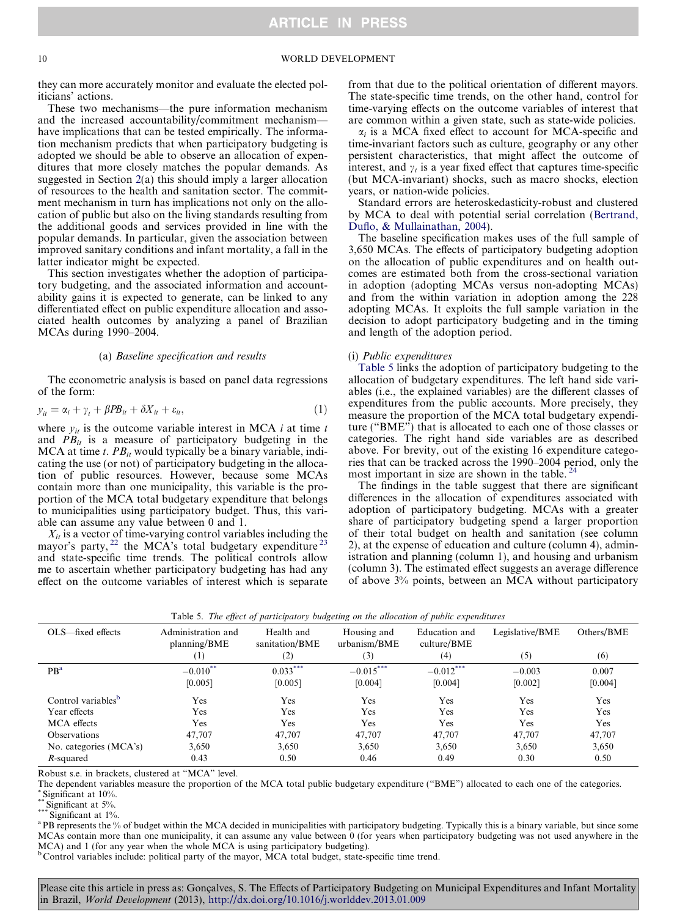<span id="page-9-0"></span>they can more accurately monitor and evaluate the elected politicians' actions.

These two mechanisms—the pure information mechanism and the increased accountability/commitment mechanism have implications that can be tested empirically. The information mechanism predicts that when participatory budgeting is adopted we should be able to observe an allocation of expenditures that more closely matches the popular demands. As suggested in Section 2(a) this should imply a larger allocation of resources to the health and sanitation sector. The commitment mechanism in turn has implications not only on the allocation of public but also on the living standards resulting from the additional goods and services provided in line with the popular demands. In particular, given the association between improved sanitary conditions and infant mortality, a fall in the latter indicator might be expected.

This section investigates whether the adoption of participatory budgeting, and the associated information and accountability gains it is expected to generate, can be linked to any differentiated effect on public expenditure allocation and associated health outcomes by analyzing a panel of Brazilian MCAs during 1990–2004.

#### (a) Baseline specification and results

The econometric analysis is based on panel data regressions of the form:

$$
y_{it} = \alpha_i + \gamma_t + \beta PB_{it} + \delta X_{it} + \varepsilon_{it},\tag{1}
$$

where  $y_{it}$  is the outcome variable interest in MCA *i* at time *t* and  $PB_{it}$  is a measure of participatory budgeting in the MCA at time t.  $PB_{it}$  would typically be a binary variable, indicating the use (or not) of participatory budgeting in the allocation of public resources. However, because some MCAs contain more than one municipality, this variable is the proportion of the MCA total budgetary expenditure that belongs to municipalities using participatory budget. Thus, this variable can assume any value between 0 and 1.

 $X_{it}$  is a vector of time-varying control variables including the mayor's party,  $^{22}$  the MCA's total budgetary expenditure  $^{23}$ and state-specific time trends. The political controls allow me to ascertain whether participatory budgeting has had any effect on the outcome variables of interest which is separate from that due to the political orientation of different mayors. The state-specific time trends, on the other hand, control for time-varying effects on the outcome variables of interest that are common within a given state, such as state-wide policies.

 $\alpha_i$  is a MCA fixed effect to account for MCA-specific and time-invariant factors such as culture, geography or any other persistent characteristics, that might affect the outcome of interest, and  $\gamma_t$  is a year fixed effect that captures time-specific (but MCA-invariant) shocks, such as macro shocks, election years, or nation-wide policies.

Standard errors are heteroskedasticity-robust and clustered by MCA to deal with potential serial correlation [\(Bertrand,](#page-16-0) [Duflo, & Mullainathan, 2004](#page-16-0)).

The baseline specification makes uses of the full sample of 3,650 MCAs. The effects of participatory budgeting adoption on the allocation of public expenditures and on health outcomes are estimated both from the cross-sectional variation in adoption (adopting MCAs versus non-adopting MCAs) and from the within variation in adoption among the 228 adopting MCAs. It exploits the full sample variation in the decision to adopt participatory budgeting and in the timing and length of the adoption period.

#### (i) Public expenditures

Table 5 links the adoption of participatory budgeting to the allocation of budgetary expenditures. The left hand side variables (i.e., the explained variables) are the different classes of expenditures from the public accounts. More precisely, they measure the proportion of the MCA total budgetary expenditure ("BME") that is allocated to each one of those classes or categories. The right hand side variables are as described above. For brevity, out of the existing 16 expenditure categories that can be tracked across the 1990–2004 period, only the most important in size are shown in the table.  $2^2$ 

The findings in the table suggest that there are significant differences in the allocation of expenditures associated with adoption of participatory budgeting. MCAs with a greater share of participatory budgeting spend a larger proportion of their total budget on health and sanitation (see column 2), at the expense of education and culture (column 4), administration and planning (column 1), and housing and urbanism (column 3). The estimated effect suggests an average difference of above 3% points, between an MCA without participatory

| OLS-fixed effects              | Administration and<br>planning/BME<br>$^{(1)}$ | Health and<br>sanitation/BME<br>(2) | Housing and<br>urbanism/BME<br>(3) | Education and<br>culture/BME<br>(4) | Legislative/BME<br>(5) | Others/BME<br>(6) |
|--------------------------------|------------------------------------------------|-------------------------------------|------------------------------------|-------------------------------------|------------------------|-------------------|
|                                |                                                |                                     |                                    |                                     |                        |                   |
| PB <sup>a</sup>                | $-0.010$ **                                    | $0.033***$                          | $-0.015***$                        | $-0.012***$                         | $-0.003$               | 0.007             |
|                                | [0.005]                                        | [0.005]                             | [0.004]                            | [0.004]                             | [0.002]                | [0.004]           |
| Control variables <sup>b</sup> | Yes                                            | Yes                                 | Yes                                | Yes                                 | Yes                    | Yes               |
| Year effects                   | Yes                                            | Yes                                 | Yes                                | Yes                                 | Yes                    | Yes               |
| MCA effects                    | Yes                                            | Yes                                 | Yes                                | Yes                                 | Yes                    | Yes               |
| <b>Observations</b>            | 47.707                                         | 47,707                              | 47,707                             | 47,707                              | 47,707                 | 47,707            |
| No. categories (MCA's)         | 3,650                                          | 3,650                               | 3,650                              | 3,650                               | 3,650                  | 3,650             |
| R-squared                      | 0.43                                           | 0.50                                | 0.46                               | 0.49                                | 0.30                   | 0.50              |

Table 5. The effect of participatory budgeting on the allocation of public expenditures

Robust s.e. in brackets, clustered at "MCA" level.

The dependent variables measure the proportion of the MCA total public budgetary expenditure ("BME") allocated to each one of the categories.<br>\*Significant at 10%.<br>\*\*Significant at 5%.<br>\*\*\*Significant at 1%.

<sup>a</sup> PB represents the % of budget within the MCA decided in municipalities with participatory budgeting. Typically this is a binary variable, but since some MCAs contain more than one municipality, it can assume any value between 0 (for years when participatory budgeting was not used anywhere in the MCA) and 1 (for any year when the whole MCA is using participatory budgeting).

<sup>b</sup> Control variables include: political party of the mayor, MCA total budget, state-specific time trend.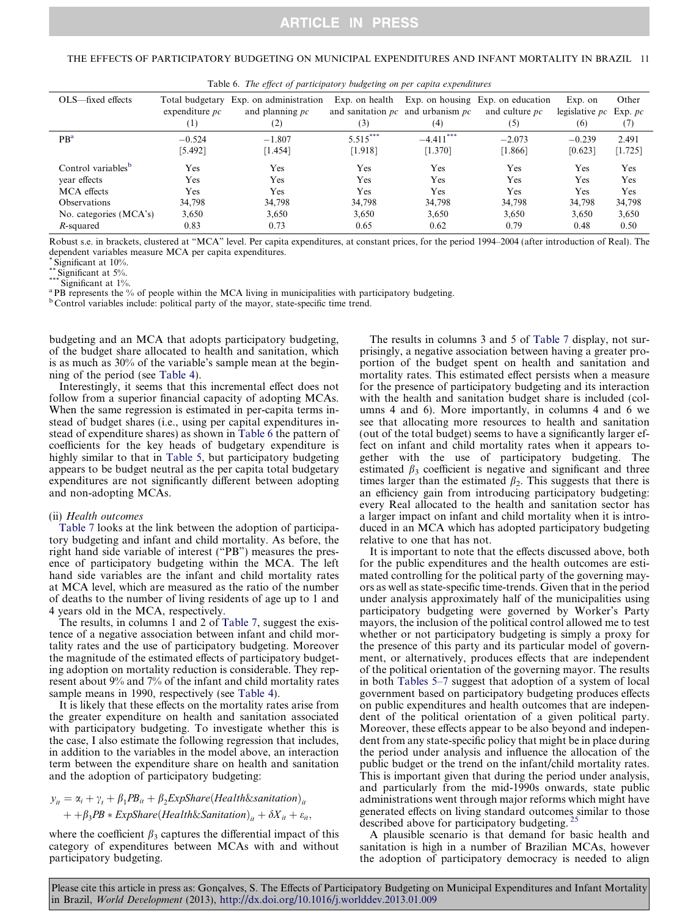THE EFFECTS OF PARTICIPATORY BUDGETING ON MUNICIPAL EXPENDITURES AND INFANT MORTALITY IN BRAZIL 11

|                                |                         | $\cdot$<br>$J$ $\Gamma$                                          | $\sim$     |                                              |                                                                           |                                              |              |
|--------------------------------|-------------------------|------------------------------------------------------------------|------------|----------------------------------------------|---------------------------------------------------------------------------|----------------------------------------------|--------------|
| OLS-fixed effects              | expenditure $pc$<br>(1) | Total budgetary Exp. on administration<br>and planning pc<br>(2) | (3)        | and sanitation $pc$ and urbanism $pc$<br>(4) | Exp. on health Exp. on housing Exp. on education<br>and culture pc<br>(5) | Exp. on<br>legislative $pc$ Exp. $pc$<br>(6) | Other<br>(7) |
| PB <sup>a</sup>                | $-0.524$                | $-1.807$                                                         | $5.515***$ | $-4.411***$                                  | $-2.073$                                                                  | $-0.239$                                     | 2.491        |
|                                | [5.492]                 | [1.454]                                                          | [1.918]    | [1.370]                                      | [1.866]                                                                   | [0.623]                                      | [1.725]      |
| Control variables <sup>b</sup> | Yes                     | Yes                                                              | Yes        | Yes                                          | Yes                                                                       | Yes                                          | Yes          |
| year effects                   | Yes                     | Yes                                                              | Yes        | Yes                                          | Yes                                                                       | Yes                                          | Yes          |
| MCA effects                    | Yes                     | Yes                                                              | Yes        | Yes                                          | Yes                                                                       | Yes                                          | Yes          |
| <b>Observations</b>            | 34,798                  | 34,798                                                           | 34,798     | 34,798                                       | 34,798                                                                    | 34,798                                       | 34,798       |
| No. categories (MCA's)         | 3,650                   | 3,650                                                            | 3,650      | 3.650                                        | 3,650                                                                     | 3,650                                        | 3,650        |
| R-squared                      | 0.83                    | 0.73                                                             | 0.65       | 0.62                                         | 0.79                                                                      | 0.48                                         | 0.50         |

Table 6. The effect of participatory budgeting on per capita expenditures

Robust s.e. in brackets, clustered at "MCA" level. Per capita expenditures, at constant prices, for the period 1994–2004 (after introduction of Real). The dependent variables measure MCA per capita expenditures.

\* Significant at  $10\%$ .<br>\*\* Significant at 5%.<br>\*\*\* Significant at 1%.

 $*$  PB represents the % of people within the MCA living in municipalities with participatory budgeting.

<sup>b</sup> Control variables include: political party of the mayor, state-specific time trend.

budgeting and an MCA that adopts participatory budgeting, of the budget share allocated to health and sanitation, which is as much as 30% of the variable's sample mean at the beginning of the period (see [Table 4\)](#page-8-0).

Interestingly, it seems that this incremental effect does not follow from a superior financial capacity of adopting MCAs. When the same regression is estimated in per-capita terms instead of budget shares (i.e., using per capital expenditures instead of expenditure shares) as shown in Table 6 the pattern of coefficients for the key heads of budgetary expenditure is highly similar to that in [Table 5,](#page-9-0) but participatory budgeting appears to be budget neutral as the per capita total budgetary expenditures are not significantly different between adopting and non-adopting MCAs.

# (ii) Health outcomes

[Table 7](#page-11-0) looks at the link between the adoption of participatory budgeting and infant and child mortality. As before, the right hand side variable of interest ("PB") measures the presence of participatory budgeting within the MCA. The left hand side variables are the infant and child mortality rates at MCA level, which are measured as the ratio of the number of deaths to the number of living residents of age up to 1 and 4 years old in the MCA, respectively.

The results, in columns 1 and 2 of [Table 7,](#page-11-0) suggest the existence of a negative association between infant and child mortality rates and the use of participatory budgeting. Moreover the magnitude of the estimated effects of participatory budgeting adoption on mortality reduction is considerable. They represent about 9% and 7% of the infant and child mortality rates sample means in 1990, respectively (see [Table 4](#page-8-0)).

It is likely that these effects on the mortality rates arise from the greater expenditure on health and sanitation associated with participatory budgeting. To investigate whether this is the case, I also estimate the following regression that includes, in addition to the variables in the model above, an interaction term between the expenditure share on health and sanitation and the adoption of participatory budgeting:

$$
y_{it} = \alpha_i + \gamma_t + \beta_1 PB_{it} + \beta_2 ExpShare(Health\&sanitation)_{it}
$$
  
+ + $\beta_3 PB * ExpShare(Health\&Sanitation)_{it} + \delta X_{it} + \varepsilon_{it},$ 

where the coefficient  $\beta_3$  captures the differential impact of this category of expenditures between MCAs with and without participatory budgeting.

The results in columns 3 and 5 of [Table 7](#page-11-0) display, not surprisingly, a negative association between having a greater proportion of the budget spent on health and sanitation and mortality rates. This estimated effect persists when a measure for the presence of participatory budgeting and its interaction with the health and sanitation budget share is included (columns 4 and 6). More importantly, in columns 4 and 6 we see that allocating more resources to health and sanitation (out of the total budget) seems to have a significantly larger effect on infant and child mortality rates when it appears together with the use of participatory budgeting. The estimated  $\beta_3$  coefficient is negative and significant and three times larger than the estimated  $\beta_2$ . This suggests that there is an efficiency gain from introducing participatory budgeting: every Real allocated to the health and sanitation sector has a larger impact on infant and child mortality when it is introduced in an MCA which has adopted participatory budgeting relative to one that has not.

It is important to note that the effects discussed above, both for the public expenditures and the health outcomes are estimated controlling for the political party of the governing mayors as well as state-specific time-trends. Given that in the period under analysis approximately half of the municipalities using participatory budgeting were governed by Worker's Party mayors, the inclusion of the political control allowed me to test whether or not participatory budgeting is simply a proxy for the presence of this party and its particular model of government, or alternatively, produces effects that are independent of the political orientation of the governing mayor. The results in both [Tables 5–7](#page-9-0) suggest that adoption of a system of local government based on participatory budgeting produces effects on public expenditures and health outcomes that are independent of the political orientation of a given political party. Moreover, these effects appear to be also beyond and independent from any state-specific policy that might be in place during the period under analysis and influence the allocation of the public budget or the trend on the infant/child mortality rates. This is important given that during the period under analysis, and particularly from the mid-1990s onwards, state public administrations went through major reforms which might have generated effects on living standard outcomes similar to those described above for participatory budgeting.

A plausible scenario is that demand for basic health and sanitation is high in a number of Brazilian MCAs, however the adoption of participatory democracy is needed to align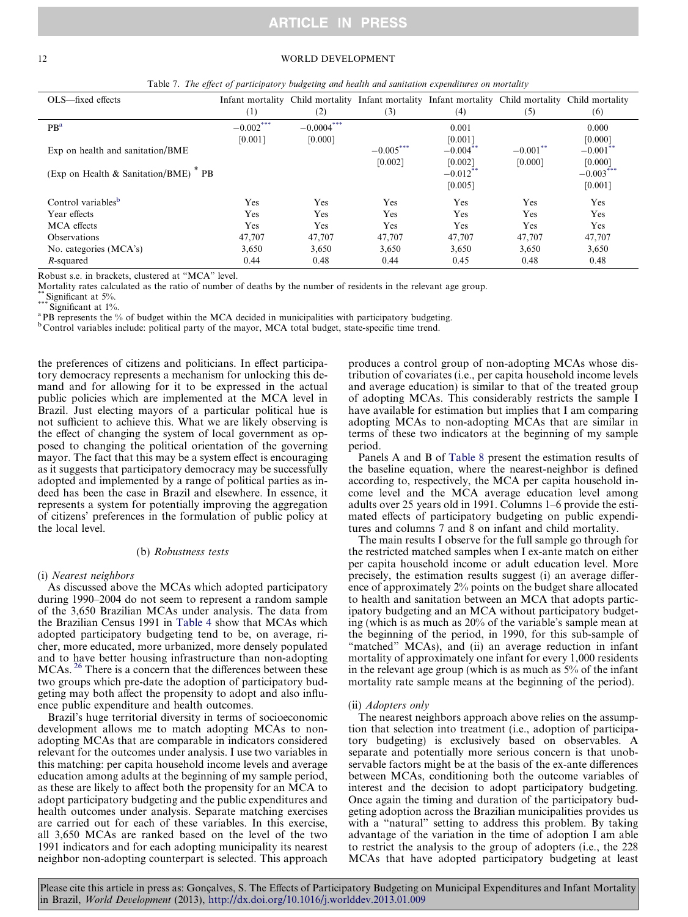<span id="page-11-0"></span>

| OLS-fixed effects                     | (1)                    | (2)                     | Infant mortality Child mortality Infant mortality Infant mortality Child mortality Child mortality<br>(3) | (4)                               | (5)                    | (6)                              |
|---------------------------------------|------------------------|-------------------------|-----------------------------------------------------------------------------------------------------------|-----------------------------------|------------------------|----------------------------------|
| PB <sup>a</sup>                       | $-0.002***$<br>[0.001] | $-0.0004***$<br>[0.000] |                                                                                                           | 0.001<br>[0.001]                  |                        | 0.000<br>[0.000]                 |
| Exp on health and sanitation/BME      |                        |                         | $-0.005***$<br>[0.002]                                                                                    | $-0.004$ **<br>[0.002]            | $-0.001$ **<br>[0.000] | $-0.001$ <sup>*</sup><br>[0.000] |
| (Exp on Health & Sanitation/BME) * PB |                        |                         |                                                                                                           | $-0.012$ <sup>**</sup><br>[0.005] |                        | $-0.003***$<br>[0.001]           |
| Control variables <sup>b</sup>        | Yes                    | Yes                     | Yes                                                                                                       | Yes                               | Yes                    | Yes                              |
| Year effects                          | Yes                    | Yes                     | Yes                                                                                                       | Yes                               | Yes                    | Yes                              |
| MCA effects                           | Yes                    | Yes                     | Yes                                                                                                       | <b>Yes</b>                        | Yes                    | Yes                              |
| <b>Observations</b>                   | 47,707                 | 47.707                  | 47,707                                                                                                    | 47,707                            | 47,707                 | 47,707                           |
| No. categories (MCA's)                | 3,650                  | 3,650                   | 3,650                                                                                                     | 3,650                             | 3,650                  | 3,650                            |
| R-squared                             | 0.44                   | 0.48                    | 0.44                                                                                                      | 0.45                              | 0.48                   | 0.48                             |

Table 7. The effect of participatory budgeting and health and sanitation expenditures on mortality

Robust s.e. in brackets, clustered at "MCA" level.

Mortality rates calculated as the ratio of number of deaths by the number of residents in the relevant age group.<br>\*\* Significant at 5%.

Significant at 5%.<br>\*\*\* Significant at 1%.<br>a PB represents the % of budget within the MCA decided in municipalities with participatory budgeting.

<sup>b</sup> Control variables include: political party of the mayor, MCA total budget, state-specific time trend.

the preferences of citizens and politicians. In effect participatory democracy represents a mechanism for unlocking this demand and for allowing for it to be expressed in the actual public policies which are implemented at the MCA level in Brazil. Just electing mayors of a particular political hue is not sufficient to achieve this. What we are likely observing is the effect of changing the system of local government as opposed to changing the political orientation of the governing mayor. The fact that this may be a system effect is encouraging as it suggests that participatory democracy may be successfully adopted and implemented by a range of political parties as indeed has been the case in Brazil and elsewhere. In essence, it represents a system for potentially improving the aggregation of citizens' preferences in the formulation of public policy at the local level.

#### (b) Robustness tests

#### (i) Nearest neighbors

As discussed above the MCAs which adopted participatory during 1990–2004 do not seem to represent a random sample of the 3,650 Brazilian MCAs under analysis. The data from the Brazilian Census 1991 in [Table 4](#page-8-0) show that MCAs which adopted participatory budgeting tend to be, on average, richer, more educated, more urbanized, more densely populated and to have better housing infrastructure than non-adopting MCAs.<sup>26</sup> There is a concern that the differences between these two groups which pre-date the adoption of participatory budgeting may both affect the propensity to adopt and also influence public expenditure and health outcomes.

Brazil's huge territorial diversity in terms of socioeconomic development allows me to match adopting MCAs to nonadopting MCAs that are comparable in indicators considered relevant for the outcomes under analysis. I use two variables in this matching: per capita household income levels and average education among adults at the beginning of my sample period, as these are likely to affect both the propensity for an MCA to adopt participatory budgeting and the public expenditures and health outcomes under analysis. Separate matching exercises are carried out for each of these variables. In this exercise, all 3,650 MCAs are ranked based on the level of the two 1991 indicators and for each adopting municipality its nearest neighbor non-adopting counterpart is selected. This approach produces a control group of non-adopting MCAs whose distribution of covariates (i.e., per capita household income levels and average education) is similar to that of the treated group of adopting MCAs. This considerably restricts the sample I have available for estimation but implies that I am comparing adopting MCAs to non-adopting MCAs that are similar in terms of these two indicators at the beginning of my sample period.

Panels A and B of [Table 8](#page-12-0) present the estimation results of the baseline equation, where the nearest-neighbor is defined according to, respectively, the MCA per capita household income level and the MCA average education level among adults over 25 years old in 1991. Columns 1–6 provide the estimated effects of participatory budgeting on public expenditures and columns 7 and 8 on infant and child mortality.

The main results I observe for the full sample go through for the restricted matched samples when I ex-ante match on either per capita household income or adult education level. More precisely, the estimation results suggest (i) an average difference of approximately 2% points on the budget share allocated to health and sanitation between an MCA that adopts participatory budgeting and an MCA without participatory budgeting (which is as much as 20% of the variable's sample mean at the beginning of the period, in 1990, for this sub-sample of "matched" MCAs), and (ii) an average reduction in infant mortality of approximately one infant for every 1,000 residents in the relevant age group (which is as much as 5% of the infant mortality rate sample means at the beginning of the period).

# (ii) Adopters only

The nearest neighbors approach above relies on the assumption that selection into treatment (i.e., adoption of participatory budgeting) is exclusively based on observables. A separate and potentially more serious concern is that unobservable factors might be at the basis of the ex-ante differences between MCAs, conditioning both the outcome variables of interest and the decision to adopt participatory budgeting. Once again the timing and duration of the participatory budgeting adoption across the Brazilian municipalities provides us with a "natural" setting to address this problem. By taking advantage of the variation in the time of adoption I am able to restrict the analysis to the group of adopters (i.e., the 228 MCAs that have adopted participatory budgeting at least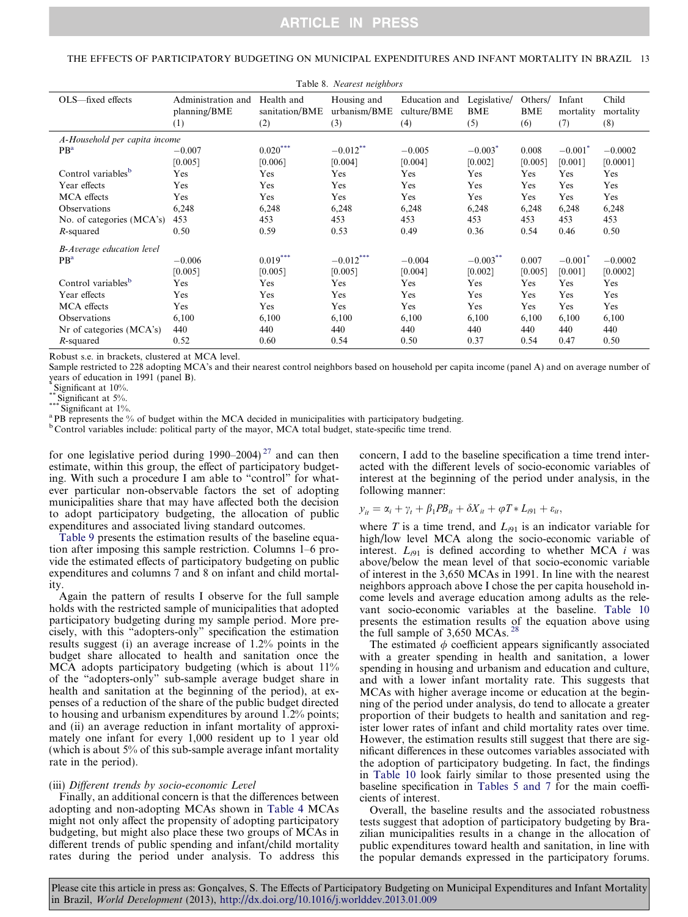<span id="page-12-0"></span>

|                                | Table 8. Nearest neighbors                |                                     |                                    |                                     |                            |                              |                            |                           |
|--------------------------------|-------------------------------------------|-------------------------------------|------------------------------------|-------------------------------------|----------------------------|------------------------------|----------------------------|---------------------------|
| OLS-fixed effects              | Administration and<br>planning/BME<br>(1) | Health and<br>sanitation/BME<br>(2) | Housing and<br>urbanism/BME<br>(3) | Education and<br>culture/BME<br>(4) | Legislative/<br>BME<br>(5) | Others/<br><b>BME</b><br>(6) | Infant<br>mortality<br>(7) | Child<br>mortality<br>(8) |
| A-Household per capita income  |                                           |                                     |                                    |                                     |                            |                              |                            |                           |
| PB <sup>a</sup>                | $-0.007$                                  | $0.020***$                          | $-0.012$ **                        | $-0.005$                            | $-0.003$ <sup>*</sup>      | 0.008                        | $-0.001$ <sup>*</sup>      | $-0.0002$                 |
|                                | [0.005]                                   | [0.006]                             | [0.004]                            | [0.004]                             | [0.002]                    | [0.005]                      | [0.001]                    | [0.0001]                  |
| Control variables <sup>b</sup> | Yes                                       | Yes                                 | Yes                                | Yes                                 | Yes                        | Yes                          | Yes                        | Yes                       |
| Year effects                   | Yes                                       | Yes                                 | Yes                                | Yes                                 | Yes                        | Yes                          | Yes                        | Yes                       |
| MCA effects                    | Yes                                       | Yes                                 | Yes                                | Yes                                 | Yes                        | Yes                          | Yes                        | Yes                       |
| <b>Observations</b>            | 6,248                                     | 6,248                               | 6,248                              | 6,248                               | 6,248                      | 6,248                        | 6,248                      | 6,248                     |
| No. of categories (MCA's)      | 453                                       | 453                                 | 453                                | 453                                 | 453                        | 453                          | 453                        | 453                       |
| R-squared                      | 0.50                                      | 0.59                                | 0.53                               | 0.49                                | 0.36                       | 0.54                         | 0.46                       | 0.50                      |
| B-Average education level      |                                           |                                     |                                    |                                     |                            |                              |                            |                           |
| PB <sup>a</sup>                | $-0.006$                                  | $0.019***$                          | $-0.012***$                        | $-0.004$                            | $-0.003***$                | 0.007                        | $-0.001$ <sup>*</sup>      | $-0.0002$                 |
|                                | [0.005]                                   | [0.005]                             | [0.005]                            | [0.004]                             | [0.002]                    | [0.005]                      | [0.001]                    | [0.0002]                  |
| Control variables <sup>b</sup> | Yes                                       | Yes                                 | Yes                                | Yes                                 | Yes                        | Yes                          | Yes                        | Yes                       |
| Year effects                   | Yes                                       | Yes                                 | Yes                                | Yes                                 | Yes                        | Yes                          | Yes                        | Yes                       |
| MCA effects                    | Yes                                       | Yes                                 | Yes                                | Yes                                 | Yes                        | Yes                          | Yes                        | Yes                       |
| <b>Observations</b>            | 6,100                                     | 6,100                               | 6,100                              | 6,100                               | 6,100                      | 6,100                        | 6,100                      | 6,100                     |
| $Nr$ of categories (MCA's)     | 440                                       | 440                                 | 440                                | 440                                 | 440                        | 440                          | 440                        | 440                       |
| R-squared                      | 0.52                                      | 0.60                                | 0.54                               | 0.50                                | 0.37                       | 0.54                         | 0.47                       | 0.50                      |

Robust s.e. in brackets, clustered at MCA level.

Sample restricted to 228 adopting MCA's and their nearest control neighbors based on household per capita income (panel A) and on average number of years of education in 1991 (panel B).

Significant at 10%.<br>
\*\* Significant at 5%.<br>
\*\*\* Significant at 1%.

<sup>a</sup> PB represents the % of budget within the MCA decided in municipalities with participatory budgeting.

<sup>b</sup> Control variables include: political party of the mayor, MCA total budget, state-specific time trend.

for one legislative period during  $1990-2004$ )<sup>27</sup> and can then estimate, within this group, the effect of participatory budgeting. With such a procedure I am able to "control" for whatever particular non-observable factors the set of adopting municipalities share that may have affected both the decision to adopt participatory budgeting, the allocation of public expenditures and associated living standard outcomes.

[Table 9](#page-13-0) presents the estimation results of the baseline equation after imposing this sample restriction. Columns 1–6 provide the estimated effects of participatory budgeting on public expenditures and columns 7 and 8 on infant and child mortality.

Again the pattern of results I observe for the full sample holds with the restricted sample of municipalities that adopted participatory budgeting during my sample period. More precisely, with this "adopters-only" specification the estimation results suggest (i) an average increase of 1.2% points in the budget share allocated to health and sanitation once the MCA adopts participatory budgeting (which is about 11% of the "adopters-only" sub-sample average budget share in health and sanitation at the beginning of the period), at expenses of a reduction of the share of the public budget directed to housing and urbanism expenditures by around 1.2% points; and (ii) an average reduction in infant mortality of approximately one infant for every 1,000 resident up to 1 year old (which is about 5% of this sub-sample average infant mortality rate in the period).

# (iii) Different trends by socio-economic Level

Finally, an additional concern is that the differences between adopting and non-adopting MCAs shown in [Table 4](#page-8-0) MCAs might not only affect the propensity of adopting participatory budgeting, but might also place these two groups of MCAs in different trends of public spending and infant/child mortality rates during the period under analysis. To address this concern, I add to the baseline specification a time trend interacted with the different levels of socio-economic variables of interest at the beginning of the period under analysis, in the following manner:

$$
y_{it} = \alpha_i + \gamma_t + \beta_1 PB_{it} + \delta X_{it} + \varphi T * L_{i91} + \varepsilon_{it},
$$

where T is a time trend, and  $L_{i91}$  is an indicator variable for high/low level MCA along the socio-economic variable of interest.  $L_{i91}$  is defined according to whether MCA i was above/below the mean level of that socio-economic variable of interest in the 3,650 MCAs in 1991. In line with the nearest neighbors approach above I chose the per capita household income levels and average education among adults as the relevant socio-economic variables at the baseline. [Table 10](#page-13-0) presents the estimation results of the equation above using the full sample of 3,650 MCAs. <sup>28</sup>

The estimated  $\phi$  coefficient appears significantly associated with a greater spending in health and sanitation, a lower spending in housing and urbanism and education and culture, and with a lower infant mortality rate. This suggests that MCAs with higher average income or education at the beginning of the period under analysis, do tend to allocate a greater proportion of their budgets to health and sanitation and register lower rates of infant and child mortality rates over time. However, the estimation results still suggest that there are significant differences in these outcomes variables associated with the adoption of participatory budgeting. In fact, the findings in [Table 10](#page-13-0) look fairly similar to those presented using the baseline specification in [Tables 5 and 7](#page-9-0) for the main coefficients of interest.

Overall, the baseline results and the associated robustness tests suggest that adoption of participatory budgeting by Brazilian municipalities results in a change in the allocation of public expenditures toward health and sanitation, in line with the popular demands expressed in the participatory forums.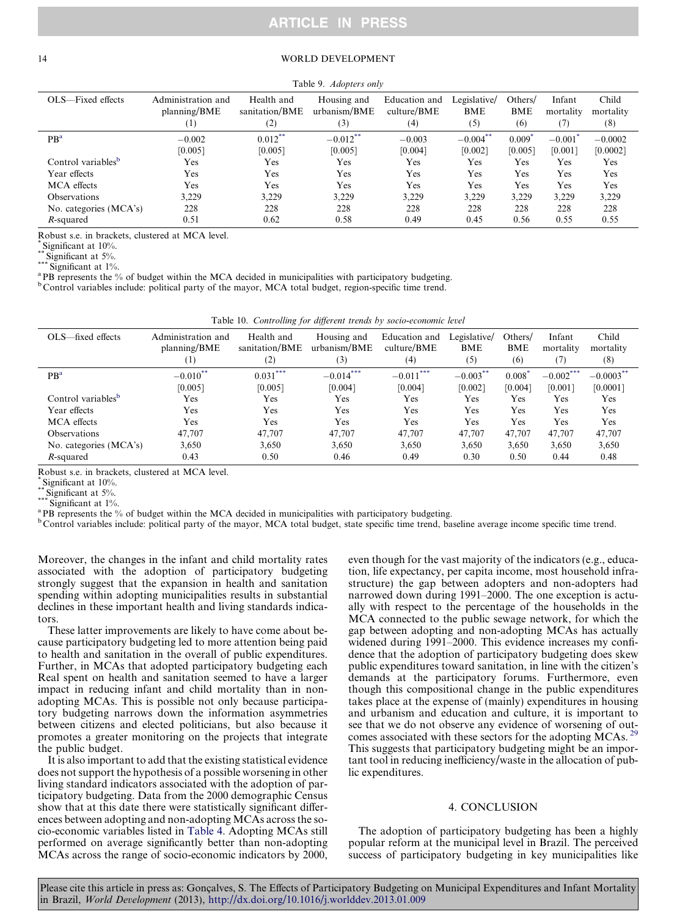# **ARTICLE IN PRESS**

# <span id="page-13-0"></span>14 WORLD DEVELOPMENT

#### Table 9. Adopters only

| OLS-Fixed effects              | Administration and<br>planning/BME<br>(1) | Health and<br>sanitation/BME<br>(2) | Housing and<br>urbanism/BME<br>(3) | Education and<br>culture/BME<br>(4) | Legislative/<br><b>BME</b><br>(5) | Others/<br><b>BME</b><br>(6) | Infant<br>mortality<br>(7) | Child<br>mortality<br>(8) |
|--------------------------------|-------------------------------------------|-------------------------------------|------------------------------------|-------------------------------------|-----------------------------------|------------------------------|----------------------------|---------------------------|
| PB <sup>a</sup>                | $-0.002$                                  | $0.012***$                          | $-0.012$ **                        | $-0.003$                            | $-0.004$ **                       | $0.009$ <sup>*</sup>         | $-0.001$ <sup>*</sup>      | $-0.0002$                 |
|                                | [0.005]                                   | [0.005]                             | [0.005]                            | [0.004]                             | [0.002]                           | [0.005]                      | [0.001]                    | [0.0002]                  |
| Control variables <sup>b</sup> | Yes                                       | Yes                                 | Yes                                | Yes                                 | Yes                               | Yes                          | Yes                        | Yes                       |
| Year effects                   | Yes                                       | Yes                                 | Yes                                | Yes                                 | Yes                               | Yes                          | Yes                        | Yes                       |
| MCA effects                    | Yes                                       | Yes                                 | Yes                                | Yes                                 | Yes                               | Yes                          | Yes                        | Yes                       |
| <b>Observations</b>            | 3,229                                     | 3,229                               | 3,229                              | 3,229                               | 3.229                             | 3,229                        | 3,229                      | 3,229                     |
| No. categories (MCA's)         | 228                                       | 228                                 | 228                                | 228                                 | 228                               | 228                          | 228                        | 228                       |
| R-squared                      | 0.51                                      | 0.62                                | 0.58                               | 0.49                                | 0.45                              | 0.56                         | 0.55                       | 0.55                      |

Robust s.e. in brackets, clustered at MCA level.

 $*$  Significant at 10%.<br>\*\* Significant at 5%.<br>\*\*\* Significant at 1%.

 $*$  PB represents the % of budget within the MCA decided in municipalities with participatory budgeting.

<sup>b</sup> Control variables include: political party of the mayor, MCA total budget, region-specific time trend.

|  | Table 10. Controlling for different trends by socio-economic level |  |  |  |  |
|--|--------------------------------------------------------------------|--|--|--|--|
|--|--------------------------------------------------------------------|--|--|--|--|

| OLS-fixed effects              | Administration and<br>planning/BME<br>$^{(1)}$ | Health and<br>sanitation/BME<br>(2) | Housing and<br>urbanism/BME<br>(3) | Education and<br>culture/BME<br>(4) | Legislative/<br><b>BME</b><br>(5) | Others/<br><b>BME</b><br>(6) | Infant<br>mortality<br>7) | Child<br>mortality<br>(8) |
|--------------------------------|------------------------------------------------|-------------------------------------|------------------------------------|-------------------------------------|-----------------------------------|------------------------------|---------------------------|---------------------------|
| PB <sup>a</sup>                | $-0.010$ **                                    | $0.031***$                          | $-0.014***$                        | $-0.011$ ***                        | $-0.003***$                       | 0.008                        | $-0.002***$               | $-0.0003$ **              |
|                                | [0.005]                                        | [0.005]                             | [0.004]                            | [0.004]                             | [0.002]                           | [0.004]                      | [0.001]                   | [0.0001]                  |
| Control variables <sup>b</sup> | Yes                                            | Yes                                 | Yes                                | Yes                                 | Yes                               | Yes                          | Yes                       | Yes                       |
| Year effects                   | Yes                                            | Yes                                 | Yes                                | Yes                                 | Yes                               | Yes                          | Yes                       | Yes                       |
| MCA effects                    | Yes                                            | Yes                                 | Yes                                | Yes                                 | Yes                               | Yes                          | Yes                       | Yes                       |
| <b>Observations</b>            | 47,707                                         | 47,707                              | 47.707                             | 47,707                              | 47,707                            | 47.707                       | 47.707                    | 47,707                    |
| No. categories (MCA's)         | 3,650                                          | 3,650                               | 3.650                              | 3,650                               | 3.650                             | 3.650                        | 3,650                     | 3,650                     |
| R-squared                      | 0.43                                           | 0.50                                | 0.46                               | 0.49                                | 0.30                              | 0.50                         | 0.44                      | 0.48                      |

Robust s.e. in brackets, clustered at MCA level.

\* Significant at  $10\%$ .<br>\* \* Significant at 5%.<br>\*\*\* Significant at 1%.

<sup>a</sup> PB represents the % of budget within the MCA decided in municipalities with participatory budgeting.

<sup>b</sup> Control variables include: political party of the mayor, MCA total budget, state specific time trend, baseline average income specific time trend.

Moreover, the changes in the infant and child mortality rates associated with the adoption of participatory budgeting strongly suggest that the expansion in health and sanitation spending within adopting municipalities results in substantial declines in these important health and living standards indicators.

These latter improvements are likely to have come about because participatory budgeting led to more attention being paid to health and sanitation in the overall of public expenditures. Further, in MCAs that adopted participatory budgeting each Real spent on health and sanitation seemed to have a larger impact in reducing infant and child mortality than in nonadopting MCAs. This is possible not only because participatory budgeting narrows down the information asymmetries between citizens and elected politicians, but also because it promotes a greater monitoring on the projects that integrate the public budget.

It is also important to add that the existing statistical evidence does not support the hypothesis of a possible worsening in other living standard indicators associated with the adoption of participatory budgeting. Data from the 2000 demographic Census show that at this date there were statistically significant differences between adopting and non-adopting MCAs across the socio-economic variables listed in [Table 4.](#page-8-0) Adopting MCAs still performed on average significantly better than non-adopting MCAs across the range of socio-economic indicators by 2000, even though for the vast majority of the indicators (e.g., education, life expectancy, per capita income, most household infrastructure) the gap between adopters and non-adopters had narrowed down during 1991–2000. The one exception is actually with respect to the percentage of the households in the MCA connected to the public sewage network, for which the gap between adopting and non-adopting MCAs has actually widened during 1991–2000. This evidence increases my confidence that the adoption of participatory budgeting does skew public expenditures toward sanitation, in line with the citizen's demands at the participatory forums. Furthermore, even though this compositional change in the public expenditures takes place at the expense of (mainly) expenditures in housing and urbanism and education and culture, it is important to see that we do not observe any evidence of worsening of outcomes associated with these sectors for the adopting MCAs.<sup>29</sup> This suggests that participatory budgeting might be an important tool in reducing inefficiency/waste in the allocation of public expenditures.

#### 4. CONCLUSION

The adoption of participatory budgeting has been a highly popular reform at the municipal level in Brazil. The perceived success of participatory budgeting in key municipalities like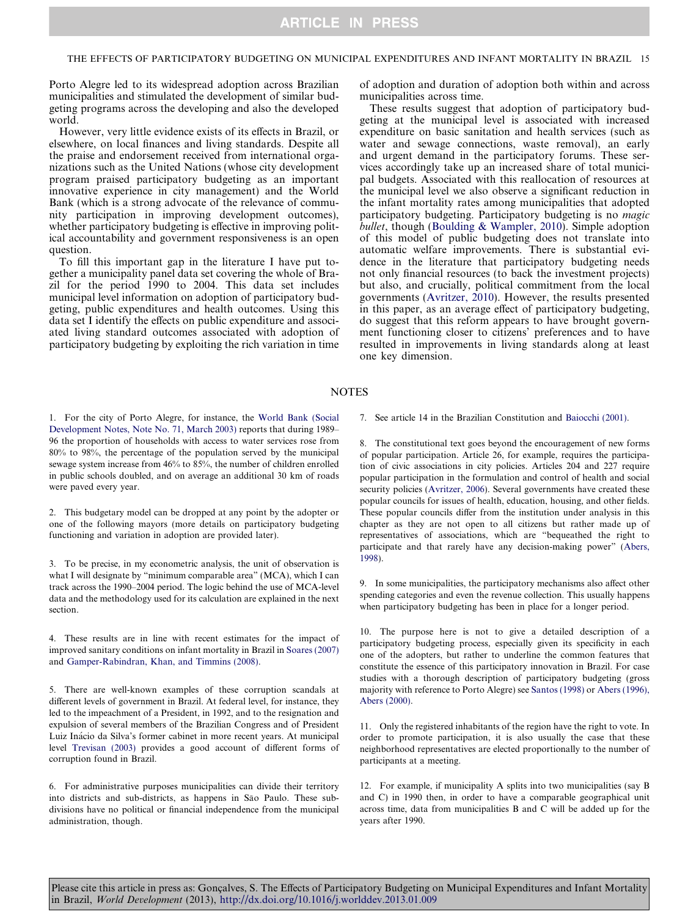# **ARTICLE IN PRESS**

# THE EFFECTS OF PARTICIPATORY BUDGETING ON MUNICIPAL EXPENDITURES AND INFANT MORTALITY IN BRAZIL 15

Porto Alegre led to its widespread adoption across Brazilian municipalities and stimulated the development of similar budgeting programs across the developing and also the developed world.

However, very little evidence exists of its effects in Brazil, or elsewhere, on local finances and living standards. Despite all the praise and endorsement received from international organizations such as the United Nations (whose city development program praised participatory budgeting as an important innovative experience in city management) and the World Bank (which is a strong advocate of the relevance of community participation in improving development outcomes), whether participatory budgeting is effective in improving political accountability and government responsiveness is an open question.

To fill this important gap in the literature I have put together a municipality panel data set covering the whole of Brazil for the period 1990 to 2004. This data set includes municipal level information on adoption of participatory budgeting, public expenditures and health outcomes. Using this data set I identify the effects on public expenditure and associated living standard outcomes associated with adoption of participatory budgeting by exploiting the rich variation in time

1. For the city of Porto Alegre, for instance, the [World Bank \(Social](#page-16-0) [Development Notes, Note No. 71, March 2003\)](#page-16-0) reports that during 1989– 96 the proportion of households with access to water services rose from 80% to 98%, the percentage of the population served by the municipal sewage system increase from 46% to 85%, the number of children enrolled in public schools doubled, and on average an additional 30 km of roads were paved every year.

2. This budgetary model can be dropped at any point by the adopter or one of the following mayors (more details on participatory budgeting functioning and variation in adoption are provided later).

3. To be precise, in my econometric analysis, the unit of observation is what I will designate by "minimum comparable area" (MCA), which I can track across the 1990–2004 period. The logic behind the use of MCA-level data and the methodology used for its calculation are explained in the next section.

4. These results are in line with recent estimates for the impact of improved sanitary conditions on infant mortality in Brazil in [Soares \(2007\)](#page-16-0) and [Gamper-Rabindran, Khan, and Timmins \(2008\).](#page-16-0)

5. There are well-known examples of these corruption scandals at different levels of government in Brazil. At federal level, for instance, they led to the impeachment of a President, in 1992, and to the resignation and expulsion of several members of the Brazilian Congress and of President Luiz Inácio da Silva's former cabinet in more recent years. At municipal level [Trevisan \(2003\)](#page-16-0) provides a good account of different forms of corruption found in Brazil.

6. For administrative purposes municipalities can divide their territory into districts and sub-districts, as happens in São Paulo. These subdivisions have no political or financial independence from the municipal administration, though.

of adoption and duration of adoption both within and across municipalities across time.

These results suggest that adoption of participatory budgeting at the municipal level is associated with increased expenditure on basic sanitation and health services (such as water and sewage connections, waste removal), an early and urgent demand in the participatory forums. These services accordingly take up an increased share of total municipal budgets. Associated with this reallocation of resources at the municipal level we also observe a significant reduction in the infant mortality rates among municipalities that adopted participatory budgeting. Participatory budgeting is no magic bullet, though [\(Boulding & Wampler, 2010\)](#page-16-0). Simple adoption of this model of public budgeting does not translate into automatic welfare improvements. There is substantial evidence in the literature that participatory budgeting needs not only financial resources (to back the investment projects) but also, and crucially, political commitment from the local governments ([Avritzer, 2010\)](#page-15-0). However, the results presented in this paper, as an average effect of participatory budgeting, do suggest that this reform appears to have brought government functioning closer to citizens' preferences and to have resulted in improvements in living standards along at least one key dimension.

# **NOTES**

7. See article 14 in the Brazilian Constitution and [Baiocchi \(2001\).](#page-15-0)

8. The constitutional text goes beyond the encouragement of new forms of popular participation. Article 26, for example, requires the participation of civic associations in city policies. Articles 204 and 227 require popular participation in the formulation and control of health and social security policies ([Avritzer, 2006](#page-15-0)). Several governments have created these popular councils for issues of health, education, housing, and other fields. These popular councils differ from the institution under analysis in this chapter as they are not open to all citizens but rather made up of representatives of associations, which are "bequeathed the right to participate and that rarely have any decision-making power" [\(Abers,](#page-15-0) [1998](#page-15-0)).

9. In some municipalities, the participatory mechanisms also affect other spending categories and even the revenue collection. This usually happens when participatory budgeting has been in place for a longer period.

10. The purpose here is not to give a detailed description of a participatory budgeting process, especially given its specificity in each one of the adopters, but rather to underline the common features that constitute the essence of this participatory innovation in Brazil. For case studies with a thorough description of participatory budgeting (gross majority with reference to Porto Alegre) see [Santos \(1998\)](#page-16-0) or [Abers \(1996\),](#page-15-0) [Abers \(2000\)](#page-15-0).

11. Only the registered inhabitants of the region have the right to vote. In order to promote participation, it is also usually the case that these neighborhood representatives are elected proportionally to the number of participants at a meeting.

12. For example, if municipality A splits into two municipalities (say B and C) in 1990 then, in order to have a comparable geographical unit across time, data from municipalities B and C will be added up for the years after 1990.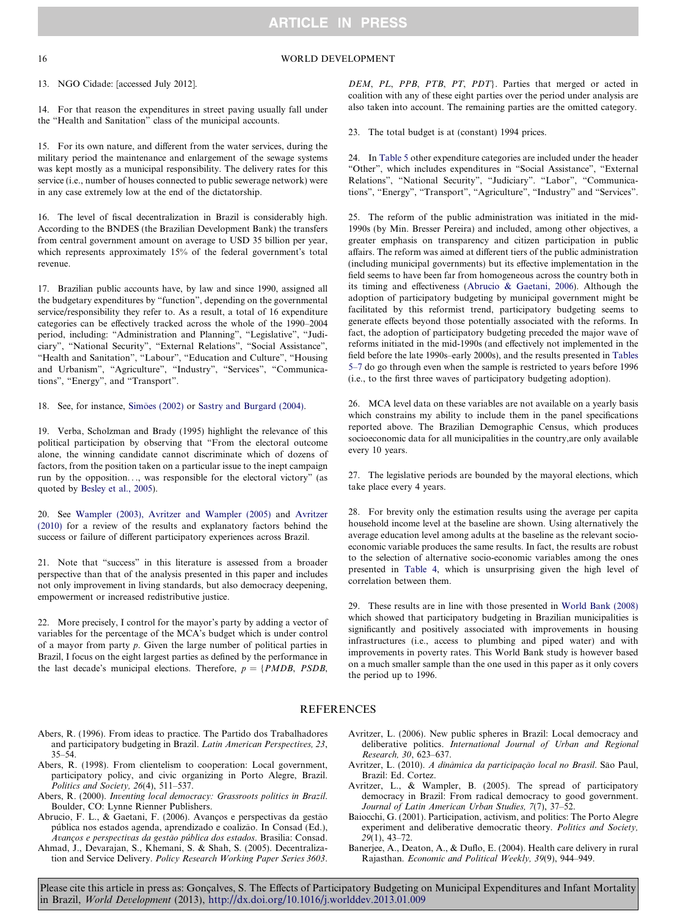# **ARTICLE IN PRESS**

# <span id="page-15-0"></span>16 WORLD DEVELOPMENT

13. NGO Cidade: [accessed July 2012].

14. For that reason the expenditures in street paving usually fall under the "Health and Sanitation" class of the municipal accounts.

15. For its own nature, and different from the water services, during the military period the maintenance and enlargement of the sewage systems was kept mostly as a municipal responsibility. The delivery rates for this service (i.e., number of houses connected to public sewerage network) were in any case extremely low at the end of the dictatorship.

16. The level of fiscal decentralization in Brazil is considerably high. According to the BNDES (the Brazilian Development Bank) the transfers from central government amount on average to USD 35 billion per year, which represents approximately 15% of the federal government's total revenue.

17. Brazilian public accounts have, by law and since 1990, assigned all the budgetary expenditures by "function", depending on the governmental service/responsibility they refer to. As a result, a total of 16 expenditure categories can be effectively tracked across the whole of the 1990–2004 period, including: "Administration and Planning", "Legislative", "Judiciary", "National Security", "External Relations", "Social Assistance", "Health and Sanitation", "Labour", "Education and Culture", "Housing and Urbanism", "Agriculture", "Industry", "Services", "Communications", "Energy", and "Transport".

18. See, for instance, Simões (2002) or [Sastry and Burgard \(2004\)](#page-16-0).

19. Verba, Scholzman and Brady (1995) highlight the relevance of this political participation by observing that "From the electoral outcome alone, the winning candidate cannot discriminate which of dozens of factors, from the position taken on a particular issue to the inept campaign run by the opposition..., was responsible for the electoral victory" (as quoted by [Besley et al., 2005\)](#page-16-0).

20. See [Wampler \(2003\), Avritzer and Wampler \(2005\)](#page-16-0) and Avritzer (2010) for a review of the results and explanatory factors behind the success or failure of different participatory experiences across Brazil.

21. Note that "success" in this literature is assessed from a broader perspective than that of the analysis presented in this paper and includes not only improvement in living standards, but also democracy deepening, empowerment or increased redistributive justice.

22. More precisely, I control for the mayor's party by adding a vector of variables for the percentage of the MCA's budget which is under control of a mayor from party  $p$ . Given the large number of political parties in Brazil, I focus on the eight largest parties as defined by the performance in the last decade's municipal elections. Therefore,  $p = \{PMDB, PSDB,$  DEM, PL, PPB, PTB, PT, PDT}. Parties that merged or acted in coalition with any of these eight parties over the period under analysis are also taken into account. The remaining parties are the omitted category.

23. The total budget is at (constant) 1994 prices.

24. In [Table 5](#page-9-0) other expenditure categories are included under the header "Other", which includes expenditures in "Social Assistance", "External Relations", "National Security", "Judiciary". "Labor", "Communications", "Energy", "Transport", "Agriculture", "Industry" and "Services".

25. The reform of the public administration was initiated in the mid-1990s (by Min. Bresser Pereira) and included, among other objectives, a greater emphasis on transparency and citizen participation in public affairs. The reform was aimed at different tiers of the public administration (including municipal governments) but its effective implementation in the field seems to have been far from homogeneous across the country both in its timing and effectiveness (Abrucio & Gaetani, 2006). Although the adoption of participatory budgeting by municipal government might be facilitated by this reformist trend, participatory budgeting seems to generate effects beyond those potentially associated with the reforms. In fact, the adoption of participatory budgeting preceded the major wave of reforms initiated in the mid-1990s (and effectively not implemented in the field before the late 1990s–early 2000s), and the results presented in [Tables](#page-9-0) [5–7](#page-9-0) do go through even when the sample is restricted to years before 1996 (i.e., to the first three waves of participatory budgeting adoption).

26. MCA level data on these variables are not available on a yearly basis which constrains my ability to include them in the panel specifications reported above. The Brazilian Demographic Census, which produces socioeconomic data for all municipalities in the country,are only available every 10 years.

27. The legislative periods are bounded by the mayoral elections, which take place every 4 years.

28. For brevity only the estimation results using the average per capita household income level at the baseline are shown. Using alternatively the average education level among adults at the baseline as the relevant socioeconomic variable produces the same results. In fact, the results are robust to the selection of alternative socio-economic variables among the ones presented in [Table 4](#page-8-0), which is unsurprising given the high level of correlation between them.

29. These results are in line with those presented in [World Bank \(2008\)](#page-16-0) which showed that participatory budgeting in Brazilian municipalities is significantly and positively associated with improvements in housing infrastructures (i.e., access to plumbing and piped water) and with improvements in poverty rates. This World Bank study is however based on a much smaller sample than the one used in this paper as it only covers the period up to 1996.

# **REFERENCES**

- Abers, R. (1996). From ideas to practice. The Partido dos Trabalhadores and participatory budgeting in Brazil. Latin American Perspectives, 23, 35–54.
- Abers, R. (1998). From clientelism to cooperation: Local government, participatory policy, and civic organizing in Porto Alegre, Brazil. Politics and Society, 26(4), 511-537.
- Abers, R. (2000). Inventing local democracy: Grassroots politics in Brazil. Boulder, CO: Lynne Rienner Publishers.
- Abrucio, F. L., & Gaetani, F. (2006). Avanços e perspectivas da gestão pública nos estados agenda, aprendizado e coalizão. In Consad (Ed.), Avanços e perspectivas da gestão pública dos estados. Brasilia: Consad.

Ahmad, J., Devarajan, S., Khemani, S. & Shah, S. (2005). Decentralization and Service Delivery. Policy Research Working Paper Series 3603.

- Avritzer, L. (2006). New public spheres in Brazil: Local democracy and deliberative politics. International Journal of Urban and Regional Research, 30, 623–637.
- Avritzer, L. (2010). A dinâmica da participação local no Brasil. São Paul, Brazil: Ed. Cortez.
- Avritzer, L., & Wampler, B. (2005). The spread of participatory democracy in Brazil: From radical democracy to good government. Journal of Latin American Urban Studies, 7(7), 37–52.
- Baiocchi, G. (2001). Participation, activism, and politics: The Porto Alegre experiment and deliberative democratic theory. Politics and Society, 29(1), 43–72.
- Banerjee, A., Deaton, A., & Duflo, E. (2004). Health care delivery in rural Rajasthan. Economic and Political Weekly, 39(9), 944–949.